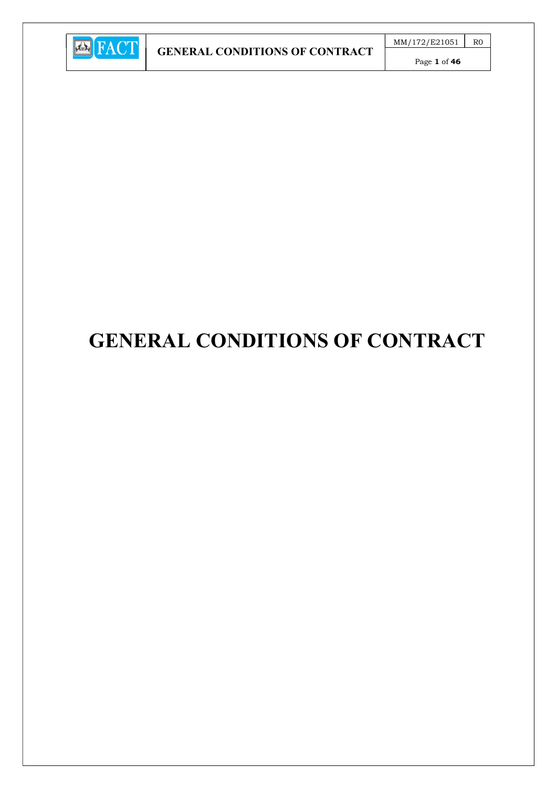

Page 1 of 46

# GENERAL CONDITIONS OF CONTRACT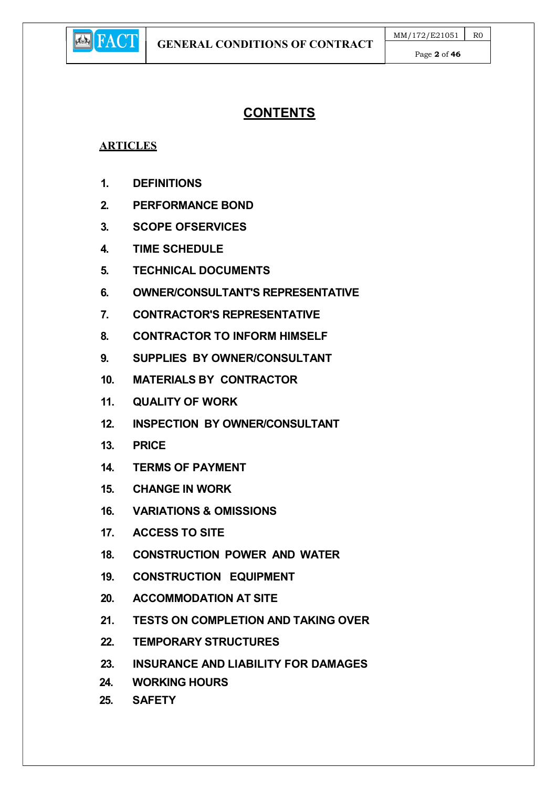

# **CONTENTS**

## **ARTICLES**

- 1. DEFINITIONS
- 2. PERFORMANCE BOND
- 3. SCOPE OFSERVICES
- 4. TIME SCHEDULE
- 5. TECHNICAL DOCUMENTS
- 6. OWNER/CONSULTANT'S REPRESENTATIVE
- 7. CONTRACTOR'S REPRESENTATIVE
- 8. CONTRACTOR TO INFORM HIMSELF
- 9. SUPPLIES BY OWNER/CONSULTANT
- 10. MATERIALS BY CONTRACTOR
- 11. QUALITY OF WORK
- 12. INSPECTION BY OWNER/CONSULTANT
- 13. PRICE
- 14. TERMS OF PAYMENT
- 15. CHANGE IN WORK
- 16. VARIATIONS & OMISSIONS
- 17. ACCESS TO SITE
- 18. CONSTRUCTION POWER AND WATER
- 19. CONSTRUCTION EQUIPMENT
- 20. ACCOMMODATION AT SITE
- 21. TESTS ON COMPLETION AND TAKING OVER
- 22. TEMPORARY STRUCTURES
- 23. INSURANCE AND LIABILITY FOR DAMAGES
- 24. WORKING HOURS
- 25. SAFETY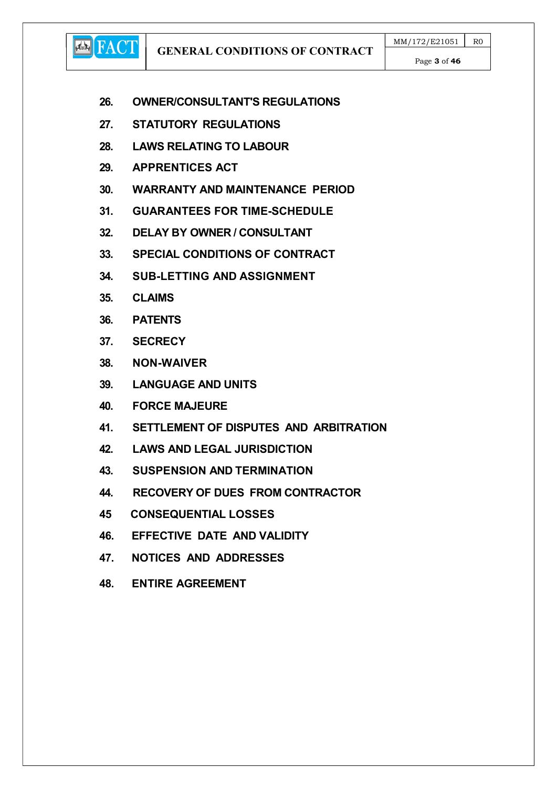GENERAL CONDITIONS OF CONTRACT

Page 3 of 46

- 26. OWNER/CONSULTANT'S REGULATIONS
- 27. STATUTORY REGULATIONS
- 28. LAWS RELATING TO LABOUR
- 29. APPRENTICES ACT
- 30. WARRANTY AND MAINTENANCE PERIOD
- 31. GUARANTEES FOR TIME-SCHEDULE
- 32. DELAY BY OWNER / CONSULTANT
- 33. SPECIAL CONDITIONS OF CONTRACT
- 34. SUB-LETTING AND ASSIGNMENT
- 35. CLAIMS

**ED** FACT

- 36. PATENTS
- 37. SECRECY
- 38. NON-WAIVER
- 39. LANGUAGE AND UNITS
- 40. FORCE MAJEURE
- 41. SETTLEMENT OF DISPUTES AND ARBITRATION
- 42. LAWS AND LEGAL JURISDICTION
- 43. SUSPENSION AND TERMINATION
- 44. RECOVERY OF DUES FROM CONTRACTOR
- 45 CONSEQUENTIAL LOSSES
- 46. EFFECTIVE DATE AND VALIDITY
- 47. NOTICES AND ADDRESSES
- 48. ENTIRE AGREEMENT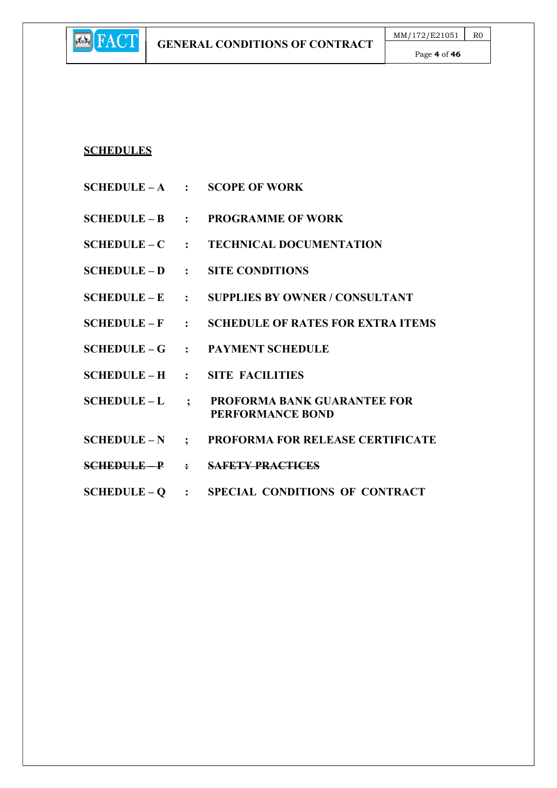## SCHEDULES

**E** FACT

- $SCHEDULE A$  : SCOPE OF WORK
- SCHEDULE B : PROGRAMME OF WORK
- SCHEDULE C : TECHNICAL DOCUMENTATION
- SCHEDULE D : SITE CONDITIONS
- SCHEDULE E : SUPPLIES BY OWNER / CONSULTANT
- SCHEDULE F : SCHEDULE OF RATES FOR EXTRA ITEMS
- SCHEDULE G : PAYMENT SCHEDULE
- SCHEDULE H : SITE FACILITIES
- SCHEDULE L ; PROFORMA BANK GUARANTEE FOR PERFORMANCE BOND
- SCHEDULE N ; PROFORMA FOR RELEASE CERTIFICATE
- SCHEDULE P : SAFETY PRACTICES
- SCHEDULE Q : SPECIAL CONDITIONS OF CONTRACT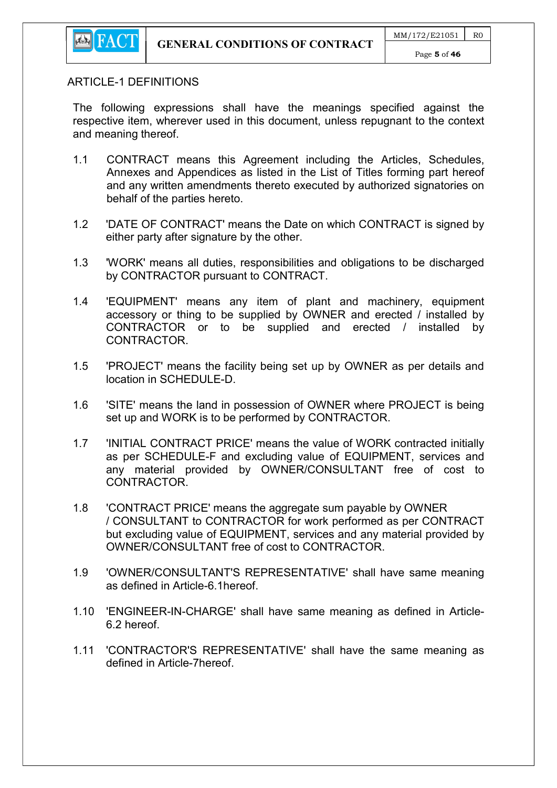

#### ARTICLE-1 DEFINITIONS

The following expressions shall have the meanings specified against the respective item, wherever used in this document, unless repugnant to the context and meaning thereof.

- 1.1 CONTRACT means this Agreement including the Articles, Schedules, Annexes and Appendices as listed in the List of Titles forming part hereof and any written amendments thereto executed by authorized signatories on behalf of the parties hereto.
- 1.2 'DATE OF CONTRACT' means the Date on which CONTRACT is signed by either party after signature by the other.
- 1.3 'WORK' means all duties, responsibilities and obligations to be discharged by CONTRACTOR pursuant to CONTRACT.
- 1.4 'EQUIPMENT' means any item of plant and machinery, equipment accessory or thing to be supplied by OWNER and erected / installed by CONTRACTOR or to be supplied and erected / installed by CONTRACTOR.
- 1.5 'PROJECT' means the facility being set up by OWNER as per details and location in SCHEDULE-D.
- 1.6 'SITE' means the land in possession of OWNER where PROJECT is being set up and WORK is to be performed by CONTRACTOR.
- 1.7 'INITIAL CONTRACT PRICE' means the value of WORK contracted initially as per SCHEDULE-F and excluding value of EQUIPMENT, services and any material provided by OWNER/CONSULTANT free of cost to CONTRACTOR.
- 1.8 'CONTRACT PRICE' means the aggregate sum payable by OWNER / CONSULTANT to CONTRACTOR for work performed as per CONTRACT but excluding value of EQUIPMENT, services and any material provided by OWNER/CONSULTANT free of cost to CONTRACTOR.
- 1.9 'OWNER/CONSULTANT'S REPRESENTATIVE' shall have same meaning as defined in Article-6.1hereof.
- 1.10 'ENGINEER-IN-CHARGE' shall have same meaning as defined in Article-6.2 hereof.
- 1.11 'CONTRACTOR'S REPRESENTATIVE' shall have the same meaning as defined in Article-7hereof.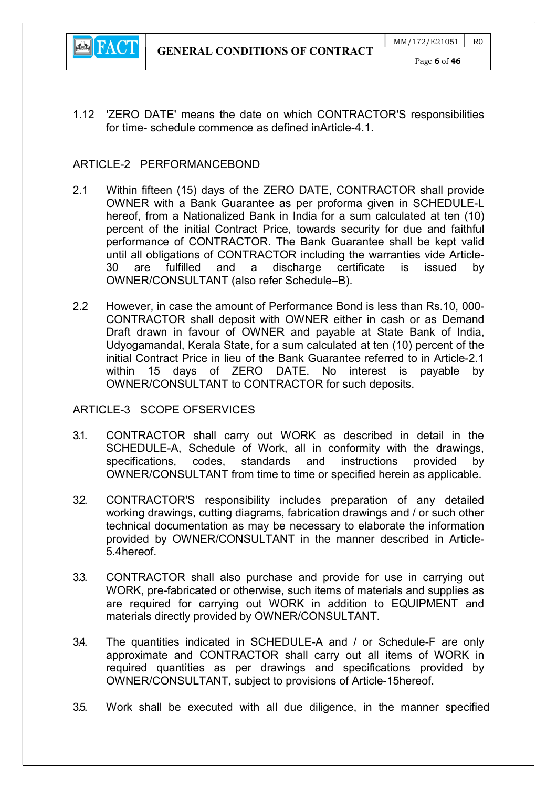

1.12 'ZERO DATE' means the date on which CONTRACTOR'S responsibilities for time- schedule commence as defined inArticle-4.1.

#### ARTICLE-2 PERFORMANCEBOND

- 2.1 Within fifteen (15) days of the ZERO DATE, CONTRACTOR shall provide OWNER with a Bank Guarantee as per proforma given in SCHEDULE-L hereof, from a Nationalized Bank in India for a sum calculated at ten (10) percent of the initial Contract Price, towards security for due and faithful performance of CONTRACTOR. The Bank Guarantee shall be kept valid until all obligations of CONTRACTOR including the warranties vide Article-30 are fulfilled and a discharge certificate is issued by OWNER/CONSULTANT (also refer Schedule–B).
- 2.2 However, in case the amount of Performance Bond is less than Rs.10, 000- CONTRACTOR shall deposit with OWNER either in cash or as Demand Draft drawn in favour of OWNER and payable at State Bank of India, Udyogamandal, Kerala State, for a sum calculated at ten (10) percent of the initial Contract Price in lieu of the Bank Guarantee referred to in Article-2.1 within 15 days of ZERO DATE. No interest is payable by OWNER/CONSULTANT to CONTRACTOR for such deposits.

#### ARTICLE-3 SCOPE OFSERVICES

- 3.1. CONTRACTOR shall carry out WORK as described in detail in the SCHEDULE-A, Schedule of Work, all in conformity with the drawings, specifications, codes, standards and instructions provided by OWNER/CONSULTANT from time to time or specified herein as applicable.
- 3.2. CONTRACTOR'S responsibility includes preparation of any detailed working drawings, cutting diagrams, fabrication drawings and / or such other technical documentation as may be necessary to elaborate the information provided by OWNER/CONSULTANT in the manner described in Article-5.4hereof.
- 3.3. CONTRACTOR shall also purchase and provide for use in carrying out WORK, pre-fabricated or otherwise, such items of materials and supplies as are required for carrying out WORK in addition to EQUIPMENT and materials directly provided by OWNER/CONSULTANT.
- 3.4. The quantities indicated in SCHEDULE-A and / or Schedule-F are only approximate and CONTRACTOR shall carry out all items of WORK in required quantities as per drawings and specifications provided by OWNER/CONSULTANT, subject to provisions of Article-15hereof.
- 3.5. Work shall be executed with all due diligence, in the manner specified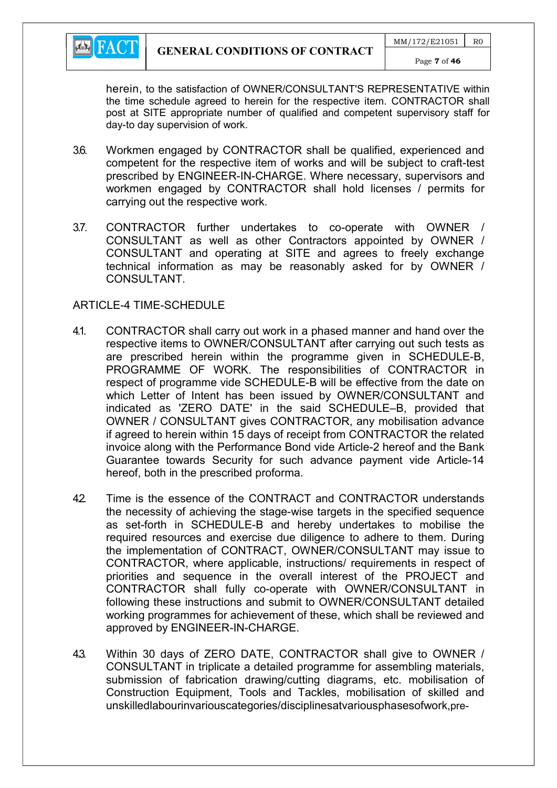

herein, to the satisfaction of OWNER/CONSULTANT'S REPRESENTATIVE within the time schedule agreed to herein for the respective item. CONTRACTOR shall post at SITE appropriate number of qualified and competent supervisory staff for day-to day supervision of work.

- 3.6. Workmen engaged by CONTRACTOR shall be qualified, experienced and competent for the respective item of works and will be subject to craft-test prescribed by ENGINEER-IN-CHARGE. Where necessary, supervisors and workmen engaged by CONTRACTOR shall hold licenses / permits for carrying out the respective work.
- 3.7. CONTRACTOR further undertakes to co-operate with OWNER / CONSULTANT as well as other Contractors appointed by OWNER / CONSULTANT and operating at SITE and agrees to freely exchange technical information as may be reasonably asked for by OWNER / CONSULTANT.

#### ARTICLE-4 TIME-SCHEDULE

- 4.1. CONTRACTOR shall carry out work in a phased manner and hand over the respective items to OWNER/CONSULTANT after carrying out such tests as are prescribed herein within the programme given in SCHEDULE-B, PROGRAMME OF WORK. The responsibilities of CONTRACTOR in respect of programme vide SCHEDULE-B will be effective from the date on which Letter of Intent has been issued by OWNER/CONSULTANT and indicated as 'ZERO DATE' in the said SCHEDULE–B, provided that OWNER / CONSULTANT gives CONTRACTOR, any mobilisation advance if agreed to herein within 15 days of receipt from CONTRACTOR the related invoice along with the Performance Bond vide Article-2 hereof and the Bank Guarantee towards Security for such advance payment vide Article-14 hereof, both in the prescribed proforma.
- 42 Time is the essence of the CONTRACT and CONTRACTOR understands the necessity of achieving the stage-wise targets in the specified sequence as set-forth in SCHEDULE-B and hereby undertakes to mobilise the required resources and exercise due diligence to adhere to them. During the implementation of CONTRACT, OWNER/CONSULTANT may issue to CONTRACTOR, where applicable, instructions/ requirements in respect of priorities and sequence in the overall interest of the PROJECT and CONTRACTOR shall fully co-operate with OWNER/CONSULTANT in following these instructions and submit to OWNER/CONSULTANT detailed working programmes for achievement of these, which shall be reviewed and approved by ENGINEER-IN-CHARGE.
- 4.3. Within 30 days of ZERO DATE, CONTRACTOR shall give to OWNER / CONSULTANT in triplicate a detailed programme for assembling materials, submission of fabrication drawing/cutting diagrams, etc. mobilisation of Construction Equipment, Tools and Tackles, mobilisation of skilled and unskilledlabourinvariouscategories/disciplinesatvariousphasesofwork,pre-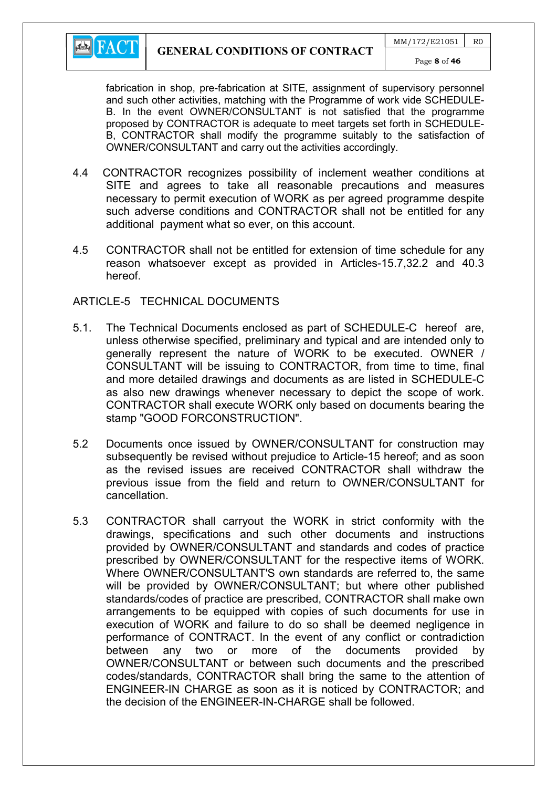

fabrication in shop, pre-fabrication at SITE, assignment of supervisory personnel and such other activities, matching with the Programme of work vide SCHEDULE-B. In the event OWNER/CONSULTANT is not satisfied that the programme proposed by CONTRACTOR is adequate to meet targets set forth in SCHEDULE-B, CONTRACTOR shall modify the programme suitably to the satisfaction of OWNER/CONSULTANT and carry out the activities accordingly.

- 4.4 CONTRACTOR recognizes possibility of inclement weather conditions at SITE and agrees to take all reasonable precautions and measures necessary to permit execution of WORK as per agreed programme despite such adverse conditions and CONTRACTOR shall not be entitled for any additional payment what so ever, on this account.
- 4.5 CONTRACTOR shall not be entitled for extension of time schedule for any reason whatsoever except as provided in Articles-15.7,32.2 and 40.3 hereof.

#### ARTICLE-5 TECHNICAL DOCUMENTS

- 5.1. The Technical Documents enclosed as part of SCHEDULE-C hereof are, unless otherwise specified, preliminary and typical and are intended only to generally represent the nature of WORK to be executed. OWNER / CONSULTANT will be issuing to CONTRACTOR, from time to time, final and more detailed drawings and documents as are listed in SCHEDULE-C as also new drawings whenever necessary to depict the scope of work. CONTRACTOR shall execute WORK only based on documents bearing the stamp "GOOD FORCONSTRUCTION".
- 5.2 Documents once issued by OWNER/CONSULTANT for construction may subsequently be revised without prejudice to Article-15 hereof; and as soon as the revised issues are received CONTRACTOR shall withdraw the previous issue from the field and return to OWNER/CONSULTANT for cancellation.
- 5.3 CONTRACTOR shall carryout the WORK in strict conformity with the drawings, specifications and such other documents and instructions provided by OWNER/CONSULTANT and standards and codes of practice prescribed by OWNER/CONSULTANT for the respective items of WORK. Where OWNER/CONSULTANT'S own standards are referred to, the same will be provided by OWNER/CONSULTANT; but where other published standards/codes of practice are prescribed, CONTRACTOR shall make own arrangements to be equipped with copies of such documents for use in execution of WORK and failure to do so shall be deemed negligence in performance of CONTRACT. In the event of any conflict or contradiction between any two or more of the documents provided by OWNER/CONSULTANT or between such documents and the prescribed codes/standards, CONTRACTOR shall bring the same to the attention of ENGINEER-IN CHARGE as soon as it is noticed by CONTRACTOR; and the decision of the ENGINEER-IN-CHARGE shall be followed.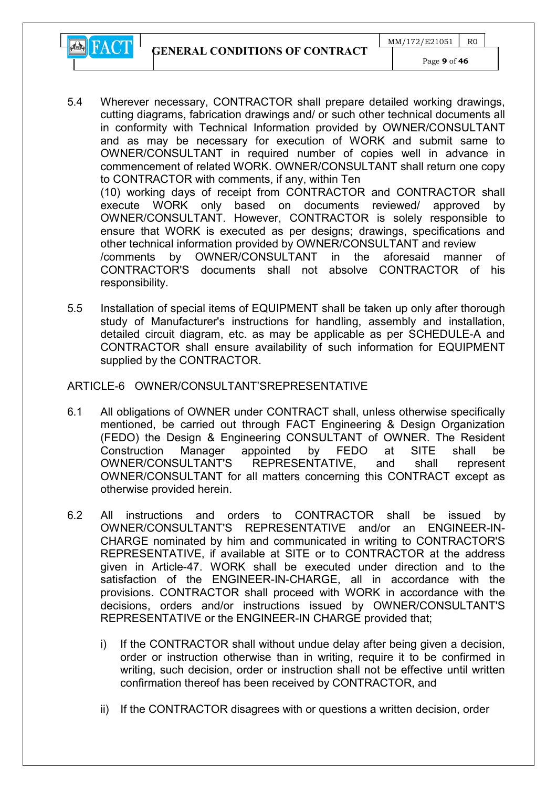GENERAL CONDITIONS OF CONTRACT



responsibility.

- 5.4 Wherever necessary, CONTRACTOR shall prepare detailed working drawings, cutting diagrams, fabrication drawings and/ or such other technical documents all in conformity with Technical Information provided by OWNER/CONSULTANT and as may be necessary for execution of WORK and submit same to OWNER/CONSULTANT in required number of copies well in advance in commencement of related WORK. OWNER/CONSULTANT shall return one copy to CONTRACTOR with comments, if any, within Ten (10) working days of receipt from CONTRACTOR and CONTRACTOR shall execute WORK only based on documents reviewed/ approved by OWNER/CONSULTANT. However, CONTRACTOR is solely responsible to ensure that WORK is executed as per designs; drawings, specifications and other technical information provided by OWNER/CONSULTANT and review /comments by OWNER/CONSULTANT in the aforesaid manner of CONTRACTOR'S documents shall not absolve CONTRACTOR of his
- 5.5 Installation of special items of EQUIPMENT shall be taken up only after thorough study of Manufacturer's instructions for handling, assembly and installation, detailed circuit diagram, etc. as may be applicable as per SCHEDULE-A and CONTRACTOR shall ensure availability of such information for EQUIPMENT supplied by the CONTRACTOR.

#### ARTICLE-6 OWNER/CONSULTANT'SREPRESENTATIVE

- 6.1 All obligations of OWNER under CONTRACT shall, unless otherwise specifically mentioned, be carried out through FACT Engineering & Design Organization (FEDO) the Design & Engineering CONSULTANT of OWNER. The Resident Construction Manager appointed by FEDO at SITE shall be OWNER/CONSULTANT'S REPRESENTATIVE, and shall represent OWNER/CONSULTANT for all matters concerning this CONTRACT except as otherwise provided herein.
- 6.2 All instructions and orders to CONTRACTOR shall be issued by OWNER/CONSULTANT'S REPRESENTATIVE and/or an ENGINEER-IN-CHARGE nominated by him and communicated in writing to CONTRACTOR'S REPRESENTATIVE, if available at SITE or to CONTRACTOR at the address given in Article-47. WORK shall be executed under direction and to the satisfaction of the ENGINEER-IN-CHARGE, all in accordance with the provisions. CONTRACTOR shall proceed with WORK in accordance with the decisions, orders and/or instructions issued by OWNER/CONSULTANT'S REPRESENTATIVE or the ENGINEER-IN CHARGE provided that;
	- i) If the CONTRACTOR shall without undue delay after being given a decision, order or instruction otherwise than in writing, require it to be confirmed in writing, such decision, order or instruction shall not be effective until written confirmation thereof has been received by CONTRACTOR, and
	- ii) If the CONTRACTOR disagrees with or questions a written decision, order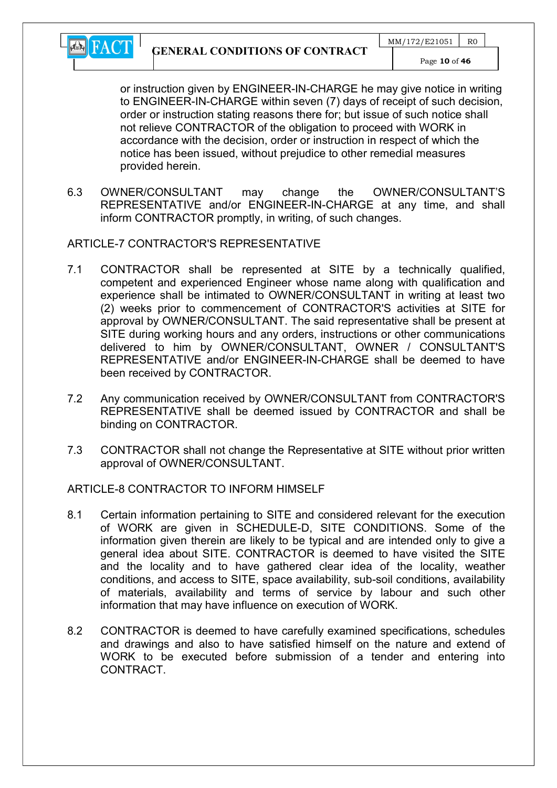

or instruction given by ENGINEER-IN-CHARGE he may give notice in writing to ENGINEER-IN-CHARGE within seven (7) days of receipt of such decision, order or instruction stating reasons there for; but issue of such notice shall not relieve CONTRACTOR of the obligation to proceed with WORK in accordance with the decision, order or instruction in respect of which the notice has been issued, without prejudice to other remedial measures provided herein.

6.3 OWNER/CONSULTANT may change the OWNER/CONSULTANT'S REPRESENTATIVE and/or ENGINEER-IN-CHARGE at any time, and shall inform CONTRACTOR promptly, in writing, of such changes.

## ARTICLE-7 CONTRACTOR'S REPRESENTATIVE

- 7.1 CONTRACTOR shall be represented at SITE by a technically qualified, competent and experienced Engineer whose name along with qualification and experience shall be intimated to OWNER/CONSULTANT in writing at least two (2) weeks prior to commencement of CONTRACTOR'S activities at SITE for approval by OWNER/CONSULTANT. The said representative shall be present at SITE during working hours and any orders, instructions or other communications delivered to him by OWNER/CONSULTANT, OWNER / CONSULTANT'S REPRESENTATIVE and/or ENGINEER-IN-CHARGE shall be deemed to have been received by CONTRACTOR.
- 7.2 Any communication received by OWNER/CONSULTANT from CONTRACTOR'S REPRESENTATIVE shall be deemed issued by CONTRACTOR and shall be binding on CONTRACTOR.
- 7.3 CONTRACTOR shall not change the Representative at SITE without prior written approval of OWNER/CONSULTANT.

## ARTICLE-8 CONTRACTOR TO INFORM HIMSELF

- 8.1 Certain information pertaining to SITE and considered relevant for the execution of WORK are given in SCHEDULE-D, SITE CONDITIONS. Some of the information given therein are likely to be typical and are intended only to give a general idea about SITE. CONTRACTOR is deemed to have visited the SITE and the locality and to have gathered clear idea of the locality, weather conditions, and access to SITE, space availability, sub-soil conditions, availability of materials, availability and terms of service by labour and such other information that may have influence on execution of WORK.
- 8.2 CONTRACTOR is deemed to have carefully examined specifications, schedules and drawings and also to have satisfied himself on the nature and extend of WORK to be executed before submission of a tender and entering into CONTRACT.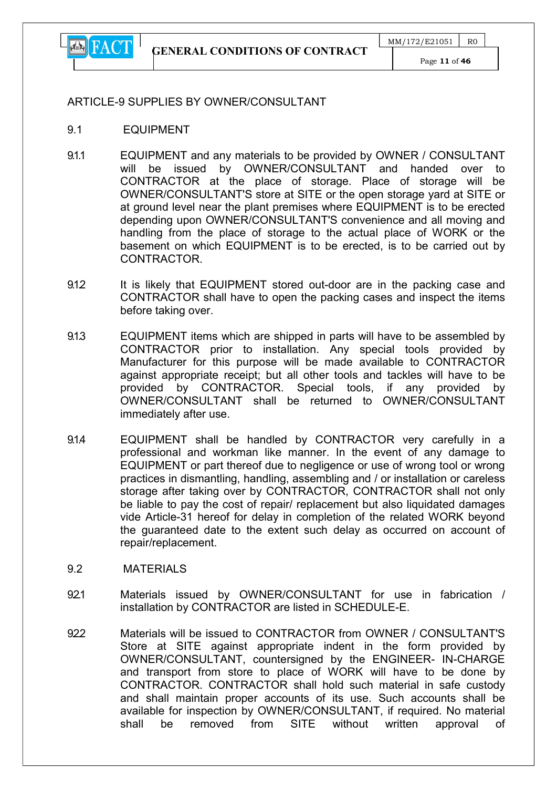

Page 11 of 46

#### ARTICLE-9 SUPPLIES BY OWNER/CONSULTANT

- 9.1 EQUIPMENT
- 9.1.1 EQUIPMENT and any materials to be provided by OWNER / CONSULTANT will be issued by OWNER/CONSULTANT and handed over to CONTRACTOR at the place of storage. Place of storage will be OWNER/CONSULTANT'S store at SITE or the open storage yard at SITE or at ground level near the plant premises where EQUIPMENT is to be erected depending upon OWNER/CONSULTANT'S convenience and all moving and handling from the place of storage to the actual place of WORK or the basement on which EQUIPMENT is to be erected, is to be carried out by CONTRACTOR.
- 9.1.2 It is likely that EQUIPMENT stored out-door are in the packing case and CONTRACTOR shall have to open the packing cases and inspect the items before taking over.
- 9.1.3 EQUIPMENT items which are shipped in parts will have to be assembled by CONTRACTOR prior to installation. Any special tools provided by Manufacturer for this purpose will be made available to CONTRACTOR against appropriate receipt; but all other tools and tackles will have to be provided by CONTRACTOR. Special tools, if any provided by OWNER/CONSULTANT shall be returned to OWNER/CONSULTANT immediately after use.
- 9.1.4 EQUIPMENT shall be handled by CONTRACTOR very carefully in a professional and workman like manner. In the event of any damage to EQUIPMENT or part thereof due to negligence or use of wrong tool or wrong practices in dismantling, handling, assembling and / or installation or careless storage after taking over by CONTRACTOR, CONTRACTOR shall not only be liable to pay the cost of repair/ replacement but also liquidated damages vide Article-31 hereof for delay in completion of the related WORK beyond the guaranteed date to the extent such delay as occurred on account of repair/replacement.
- 9.2 MATERIALS
- 921 Materials issued by OWNER/CONSULTANT for use in fabrication / installation by CONTRACTOR are listed in SCHEDULE-E.
- 922 Materials will be issued to CONTRACTOR from OWNER / CONSULTANT'S Store at SITE against appropriate indent in the form provided by OWNER/CONSULTANT, countersigned by the ENGINEER- IN-CHARGE and transport from store to place of WORK will have to be done by CONTRACTOR. CONTRACTOR shall hold such material in safe custody and shall maintain proper accounts of its use. Such accounts shall be available for inspection by OWNER/CONSULTANT, if required. No material shall be removed from SITE without written approval of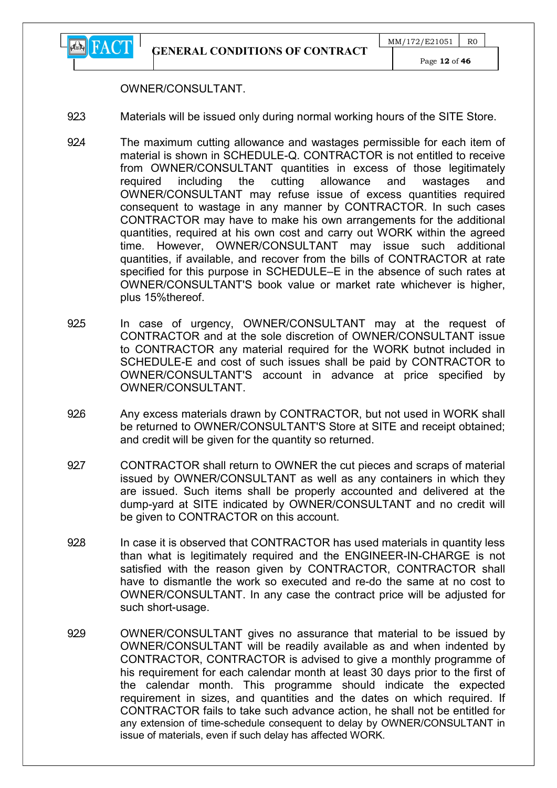

#### OWNER/CONSULTANT.

- 923 Materials will be issued only during normal working hours of the SITE Store.
- 924 The maximum cutting allowance and wastages permissible for each item of material is shown in SCHEDULE-Q. CONTRACTOR is not entitled to receive from OWNER/CONSULTANT quantities in excess of those legitimately required including the cutting allowance and wastages and OWNER/CONSULTANT may refuse issue of excess quantities required consequent to wastage in any manner by CONTRACTOR. In such cases CONTRACTOR may have to make his own arrangements for the additional quantities, required at his own cost and carry out WORK within the agreed time. However, OWNER/CONSULTANT may issue such additional quantities, if available, and recover from the bills of CONTRACTOR at rate specified for this purpose in SCHEDULE–E in the absence of such rates at OWNER/CONSULTANT'S book value or market rate whichever is higher, plus 15%thereof.
- 925 In case of urgency, OWNER/CONSULTANT may at the request of CONTRACTOR and at the sole discretion of OWNER/CONSULTANT issue to CONTRACTOR any material required for the WORK butnot included in SCHEDULE-E and cost of such issues shall be paid by CONTRACTOR to OWNER/CONSULTANT'S account in advance at price specified by OWNER/CONSULTANT.
- 926 Any excess materials drawn by CONTRACTOR, but not used in WORK shall be returned to OWNER/CONSULTANT'S Store at SITE and receipt obtained; and credit will be given for the quantity so returned.
- 92.7 CONTRACTOR shall return to OWNER the cut pieces and scraps of material issued by OWNER/CONSULTANT as well as any containers in which they are issued. Such items shall be properly accounted and delivered at the dump-yard at SITE indicated by OWNER/CONSULTANT and no credit will be given to CONTRACTOR on this account.
- 928 In case it is observed that CONTRACTOR has used materials in quantity less than what is legitimately required and the ENGINEER-IN-CHARGE is not satisfied with the reason given by CONTRACTOR, CONTRACTOR shall have to dismantle the work so executed and re-do the same at no cost to OWNER/CONSULTANT. In any case the contract price will be adjusted for such short-usage.
- 929 OWNER/CONSULTANT gives no assurance that material to be issued by OWNER/CONSULTANT will be readily available as and when indented by CONTRACTOR, CONTRACTOR is advised to give a monthly programme of his requirement for each calendar month at least 30 days prior to the first of the calendar month. This programme should indicate the expected requirement in sizes, and quantities and the dates on which required. If CONTRACTOR fails to take such advance action, he shall not be entitled for any extension of time-schedule consequent to delay by OWNER/CONSULTANT in issue of materials, even if such delay has affected WORK.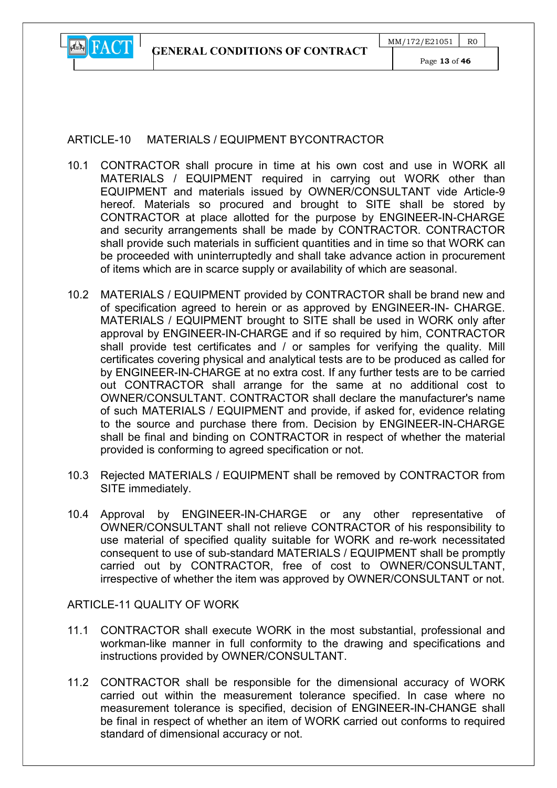

## ARTICLE-10 MATERIALS / FOUIPMENT BYCONTRACTOR

- 10.1 CONTRACTOR shall procure in time at his own cost and use in WORK all MATERIALS / EQUIPMENT required in carrying out WORK other than EQUIPMENT and materials issued by OWNER/CONSULTANT vide Article-9 hereof. Materials so procured and brought to SITE shall be stored by CONTRACTOR at place allotted for the purpose by ENGINEER-IN-CHARGE and security arrangements shall be made by CONTRACTOR. CONTRACTOR shall provide such materials in sufficient quantities and in time so that WORK can be proceeded with uninterruptedly and shall take advance action in procurement of items which are in scarce supply or availability of which are seasonal.
- 10.2 MATERIALS / EQUIPMENT provided by CONTRACTOR shall be brand new and of specification agreed to herein or as approved by ENGINEER-IN- CHARGE. MATERIALS / EQUIPMENT brought to SITE shall be used in WORK only after approval by ENGINEER-IN-CHARGE and if so required by him, CONTRACTOR shall provide test certificates and / or samples for verifying the quality. Mill certificates covering physical and analytical tests are to be produced as called for by ENGINEER-IN-CHARGE at no extra cost. If any further tests are to be carried out CONTRACTOR shall arrange for the same at no additional cost to OWNER/CONSULTANT. CONTRACTOR shall declare the manufacturer's name of such MATERIALS / EQUIPMENT and provide, if asked for, evidence relating to the source and purchase there from. Decision by ENGINEER-IN-CHARGE shall be final and binding on CONTRACTOR in respect of whether the material provided is conforming to agreed specification or not.
- 10.3 Rejected MATERIALS / EQUIPMENT shall be removed by CONTRACTOR from SITE immediately.
- 10.4 Approval by ENGINEER-IN-CHARGE or any other representative of OWNER/CONSULTANT shall not relieve CONTRACTOR of his responsibility to use material of specified quality suitable for WORK and re-work necessitated consequent to use of sub-standard MATERIALS / EQUIPMENT shall be promptly carried out by CONTRACTOR, free of cost to OWNER/CONSULTANT, irrespective of whether the item was approved by OWNER/CONSULTANT or not.

#### ARTICLE-11 QUALITY OF WORK

- 11.1 CONTRACTOR shall execute WORK in the most substantial, professional and workman-like manner in full conformity to the drawing and specifications and instructions provided by OWNER/CONSULTANT.
- 11.2 CONTRACTOR shall be responsible for the dimensional accuracy of WORK carried out within the measurement tolerance specified. In case where no measurement tolerance is specified, decision of ENGINEER-IN-CHANGE shall be final in respect of whether an item of WORK carried out conforms to required standard of dimensional accuracy or not.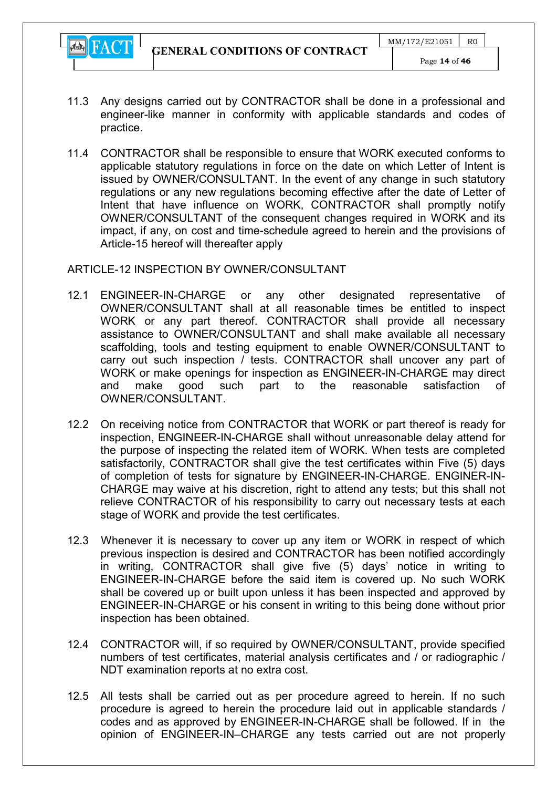

- 11.3 Any designs carried out by CONTRACTOR shall be done in a professional and engineer-like manner in conformity with applicable standards and codes of practice.
- 11.4 CONTRACTOR shall be responsible to ensure that WORK executed conforms to applicable statutory regulations in force on the date on which Letter of Intent is issued by OWNER/CONSULTANT. In the event of any change in such statutory regulations or any new regulations becoming effective after the date of Letter of Intent that have influence on WORK, CONTRACTOR shall promptly notify OWNER/CONSULTANT of the consequent changes required in WORK and its impact, if any, on cost and time-schedule agreed to herein and the provisions of Article-15 hereof will thereafter apply

## ARTICLE-12 INSPECTION BY OWNER/CONSULTANT

- 12.1 ENGINEER-IN-CHARGE or any other designated representative of OWNER/CONSULTANT shall at all reasonable times be entitled to inspect WORK or any part thereof. CONTRACTOR shall provide all necessary assistance to OWNER/CONSULTANT and shall make available all necessary scaffolding, tools and testing equipment to enable OWNER/CONSULTANT to carry out such inspection / tests. CONTRACTOR shall uncover any part of WORK or make openings for inspection as ENGINEER-IN-CHARGE may direct and make good such part to the reasonable satisfaction of OWNER/CONSULTANT.
- 12.2 On receiving notice from CONTRACTOR that WORK or part thereof is ready for inspection, ENGINEER-IN-CHARGE shall without unreasonable delay attend for the purpose of inspecting the related item of WORK. When tests are completed satisfactorily, CONTRACTOR shall give the test certificates within Five (5) days of completion of tests for signature by ENGINEER-IN-CHARGE. ENGINER-IN-CHARGE may waive at his discretion, right to attend any tests; but this shall not relieve CONTRACTOR of his responsibility to carry out necessary tests at each stage of WORK and provide the test certificates.
- 12.3 Whenever it is necessary to cover up any item or WORK in respect of which previous inspection is desired and CONTRACTOR has been notified accordingly in writing, CONTRACTOR shall give five (5) days' notice in writing to ENGINEER-IN-CHARGE before the said item is covered up. No such WORK shall be covered up or built upon unless it has been inspected and approved by ENGINEER-IN-CHARGE or his consent in writing to this being done without prior inspection has been obtained.
- 12.4 CONTRACTOR will, if so required by OWNER/CONSULTANT, provide specified numbers of test certificates, material analysis certificates and / or radiographic / NDT examination reports at no extra cost.
- 12.5 All tests shall be carried out as per procedure agreed to herein. If no such procedure is agreed to herein the procedure laid out in applicable standards / codes and as approved by ENGINEER-IN-CHARGE shall be followed. If in the opinion of ENGINEER-IN–CHARGE any tests carried out are not properly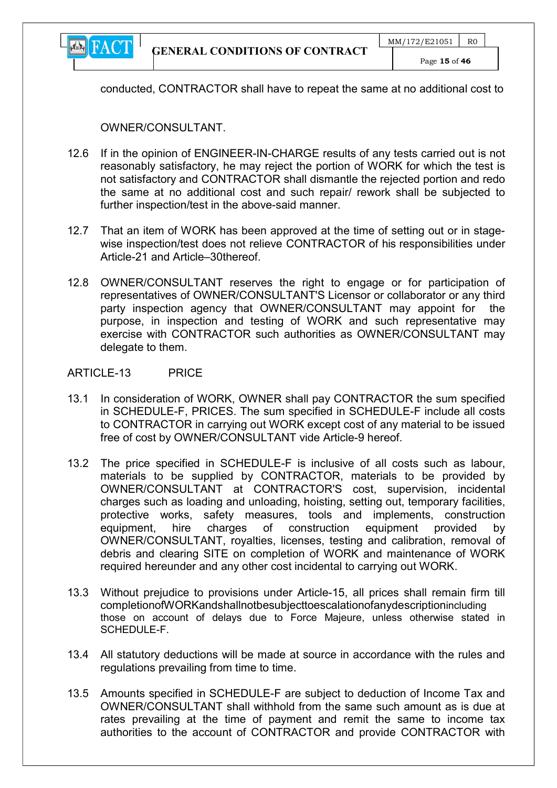

conducted, CONTRACTOR shall have to repeat the same at no additional cost to

OWNER/CONSULTANT.

- 12.6 If in the opinion of ENGINEER-IN-CHARGE results of any tests carried out is not reasonably satisfactory, he may reject the portion of WORK for which the test is not satisfactory and CONTRACTOR shall dismantle the rejected portion and redo the same at no additional cost and such repair/ rework shall be subjected to further inspection/test in the above-said manner.
- 12.7 That an item of WORK has been approved at the time of setting out or in stagewise inspection/test does not relieve CONTRACTOR of his responsibilities under Article-21 and Article–30thereof.
- 12.8 OWNER/CONSULTANT reserves the right to engage or for participation of representatives of OWNER/CONSULTANT'S Licensor or collaborator or any third party inspection agency that OWNER/CONSULTANT may appoint for the purpose, in inspection and testing of WORK and such representative may exercise with CONTRACTOR such authorities as OWNER/CONSULTANT may delegate to them.

#### ARTICLE-13 PRICE

- 13.1 In consideration of WORK, OWNER shall pay CONTRACTOR the sum specified in SCHEDULE-F, PRICES. The sum specified in SCHEDULE-F include all costs to CONTRACTOR in carrying out WORK except cost of any material to be issued free of cost by OWNER/CONSULTANT vide Article-9 hereof.
- 13.2 The price specified in SCHEDULE-F is inclusive of all costs such as labour, materials to be supplied by CONTRACTOR, materials to be provided by OWNER/CONSULTANT at CONTRACTOR'S cost, supervision, incidental charges such as loading and unloading, hoisting, setting out, temporary facilities, protective works, safety measures, tools and implements, construction equipment, hire charges of construction equipment provided by OWNER/CONSULTANT, royalties, licenses, testing and calibration, removal of debris and clearing SITE on completion of WORK and maintenance of WORK required hereunder and any other cost incidental to carrying out WORK.
- 13.3 Without prejudice to provisions under Article-15, all prices shall remain firm till completionofWORKandshallnotbesubjecttoescalationofanydescriptionincluding those on account of delays due to Force Majeure, unless otherwise stated in SCHEDULE-F.
- 13.4 All statutory deductions will be made at source in accordance with the rules and regulations prevailing from time to time.
- 13.5 Amounts specified in SCHEDULE-F are subject to deduction of Income Tax and OWNER/CONSULTANT shall withhold from the same such amount as is due at rates prevailing at the time of payment and remit the same to income tax authorities to the account of CONTRACTOR and provide CONTRACTOR with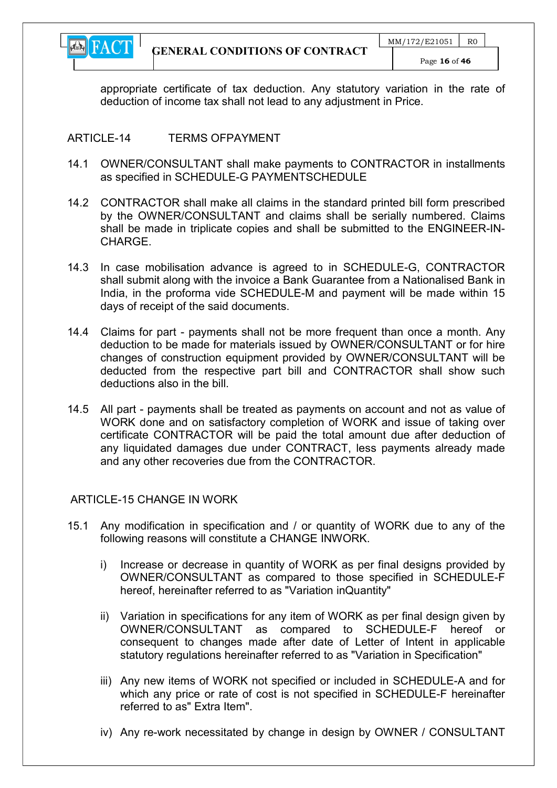

appropriate certificate of tax deduction. Any statutory variation in the rate of deduction of income tax shall not lead to any adjustment in Price.

## ARTICLE-14 TERMS OFPAYMENT

- 14.1 OWNER/CONSULTANT shall make payments to CONTRACTOR in installments as specified in SCHEDULE-G PAYMENTSCHEDULE
- 14.2 CONTRACTOR shall make all claims in the standard printed bill form prescribed by the OWNER/CONSULTANT and claims shall be serially numbered. Claims shall be made in triplicate copies and shall be submitted to the ENGINEER-IN-CHARGE.
- 14.3 In case mobilisation advance is agreed to in SCHEDULE-G, CONTRACTOR shall submit along with the invoice a Bank Guarantee from a Nationalised Bank in India, in the proforma vide SCHEDULE-M and payment will be made within 15 days of receipt of the said documents.
- 14.4 Claims for part payments shall not be more frequent than once a month. Any deduction to be made for materials issued by OWNER/CONSULTANT or for hire changes of construction equipment provided by OWNER/CONSULTANT will be deducted from the respective part bill and CONTRACTOR shall show such deductions also in the bill.
- 14.5 All part payments shall be treated as payments on account and not as value of WORK done and on satisfactory completion of WORK and issue of taking over certificate CONTRACTOR will be paid the total amount due after deduction of any liquidated damages due under CONTRACT, less payments already made and any other recoveries due from the CONTRACTOR.

#### ARTICLE-15 CHANGE IN WORK

- 15.1 Any modification in specification and / or quantity of WORK due to any of the following reasons will constitute a CHANGE INWORK.
	- i) Increase or decrease in quantity of WORK as per final designs provided by OWNER/CONSULTANT as compared to those specified in SCHEDULE-F hereof, hereinafter referred to as "Variation inQuantity"
	- ii) Variation in specifications for any item of WORK as per final design given by OWNER/CONSULTANT as compared to SCHEDULE-F hereof or consequent to changes made after date of Letter of Intent in applicable statutory regulations hereinafter referred to as "Variation in Specification"
	- iii) Any new items of WORK not specified or included in SCHEDULE-A and for which any price or rate of cost is not specified in SCHEDULE-F hereinafter referred to as" Extra Item".
	- iv) Any re-work necessitated by change in design by OWNER / CONSULTANT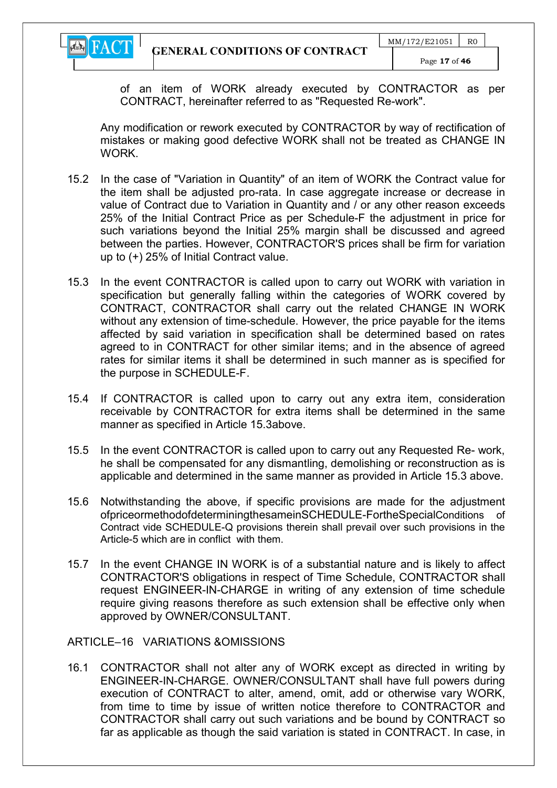

of an item of WORK already executed by CONTRACTOR as per CONTRACT, hereinafter referred to as "Requested Re-work".

Any modification or rework executed by CONTRACTOR by way of rectification of mistakes or making good defective WORK shall not be treated as CHANGE IN **WORK** 

- 15.2 In the case of "Variation in Quantity" of an item of WORK the Contract value for the item shall be adjusted pro-rata. In case aggregate increase or decrease in value of Contract due to Variation in Quantity and / or any other reason exceeds 25% of the Initial Contract Price as per Schedule-F the adjustment in price for such variations beyond the Initial 25% margin shall be discussed and agreed between the parties. However, CONTRACTOR'S prices shall be firm for variation up to (+) 25% of Initial Contract value.
- 15.3 In the event CONTRACTOR is called upon to carry out WORK with variation in specification but generally falling within the categories of WORK covered by CONTRACT, CONTRACTOR shall carry out the related CHANGE IN WORK without any extension of time-schedule. However, the price payable for the items affected by said variation in specification shall be determined based on rates agreed to in CONTRACT for other similar items; and in the absence of agreed rates for similar items it shall be determined in such manner as is specified for the purpose in SCHEDULE-F.
- 15.4 If CONTRACTOR is called upon to carry out any extra item, consideration receivable by CONTRACTOR for extra items shall be determined in the same manner as specified in Article 15.3above.
- 15.5 In the event CONTRACTOR is called upon to carry out any Requested Re- work, he shall be compensated for any dismantling, demolishing or reconstruction as is applicable and determined in the same manner as provided in Article 15.3 above.
- 15.6 Notwithstanding the above, if specific provisions are made for the adjustment ofpriceormethodofdeterminingthesameinSCHEDULE-FortheSpecialConditions of Contract vide SCHEDULE-Q provisions therein shall prevail over such provisions in the Article-5 which are in conflict with them.
- 15.7 In the event CHANGE IN WORK is of a substantial nature and is likely to affect CONTRACTOR'S obligations in respect of Time Schedule, CONTRACTOR shall request ENGINEER-IN-CHARGE in writing of any extension of time schedule require giving reasons therefore as such extension shall be effective only when approved by OWNER/CONSULTANT.

ARTICLE–16 VARIATIONS &OMISSIONS

16.1 CONTRACTOR shall not alter any of WORK except as directed in writing by ENGINEER-IN-CHARGE. OWNER/CONSULTANT shall have full powers during execution of CONTRACT to alter, amend, omit, add or otherwise vary WORK, from time to time by issue of written notice therefore to CONTRACTOR and CONTRACTOR shall carry out such variations and be bound by CONTRACT so far as applicable as though the said variation is stated in CONTRACT. In case, in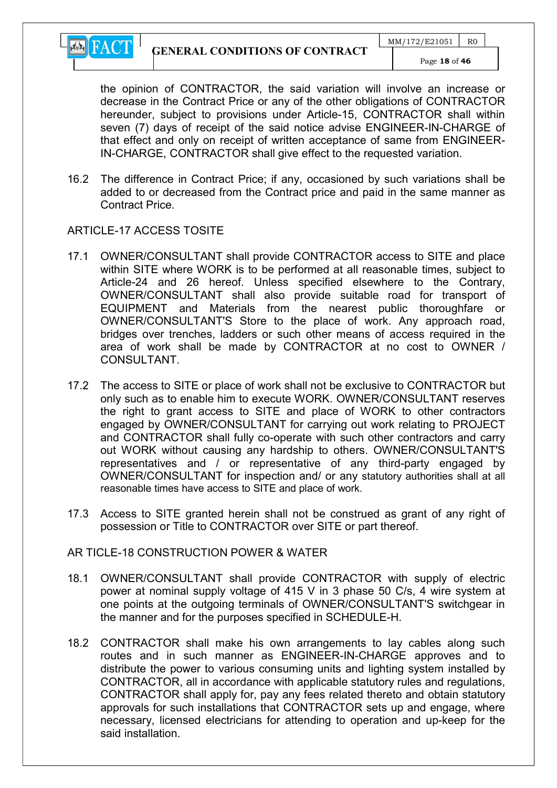

the opinion of CONTRACTOR, the said variation will involve an increase or decrease in the Contract Price or any of the other obligations of CONTRACTOR hereunder, subject to provisions under Article-15, CONTRACTOR shall within seven (7) days of receipt of the said notice advise ENGINEER-IN-CHARGE of that effect and only on receipt of written acceptance of same from ENGINEER-IN-CHARGE, CONTRACTOR shall give effect to the requested variation.

16.2 The difference in Contract Price; if any, occasioned by such variations shall be added to or decreased from the Contract price and paid in the same manner as Contract Price.

#### ARTICLE-17 ACCESS TOSITE

- 17.1 OWNER/CONSULTANT shall provide CONTRACTOR access to SITE and place within SITE where WORK is to be performed at all reasonable times, subject to Article-24 and 26 hereof. Unless specified elsewhere to the Contrary, OWNER/CONSULTANT shall also provide suitable road for transport of EQUIPMENT and Materials from the nearest public thoroughfare or OWNER/CONSULTANT'S Store to the place of work. Any approach road, bridges over trenches, ladders or such other means of access required in the area of work shall be made by CONTRACTOR at no cost to OWNER / CONSULTANT.
- 17.2 The access to SITE or place of work shall not be exclusive to CONTRACTOR but only such as to enable him to execute WORK. OWNER/CONSULTANT reserves the right to grant access to SITE and place of WORK to other contractors engaged by OWNER/CONSULTANT for carrying out work relating to PROJECT and CONTRACTOR shall fully co-operate with such other contractors and carry out WORK without causing any hardship to others. OWNER/CONSULTANT'S representatives and / or representative of any third-party engaged by OWNER/CONSULTANT for inspection and/ or any statutory authorities shall at all reasonable times have access to SITE and place of work.
- 17.3 Access to SITE granted herein shall not be construed as grant of any right of possession or Title to CONTRACTOR over SITE or part thereof.

#### AR TICLE-18 CONSTRUCTION POWER & WATER

- 18.1 OWNER/CONSULTANT shall provide CONTRACTOR with supply of electric power at nominal supply voltage of 415 V in 3 phase 50 C/s, 4 wire system at one points at the outgoing terminals of OWNER/CONSULTANT'S switchgear in the manner and for the purposes specified in SCHEDULE-H.
- 18.2 CONTRACTOR shall make his own arrangements to lay cables along such routes and in such manner as ENGINEER-IN-CHARGE approves and to distribute the power to various consuming units and lighting system installed by CONTRACTOR, all in accordance with applicable statutory rules and regulations, CONTRACTOR shall apply for, pay any fees related thereto and obtain statutory approvals for such installations that CONTRACTOR sets up and engage, where necessary, licensed electricians for attending to operation and up-keep for the said installation.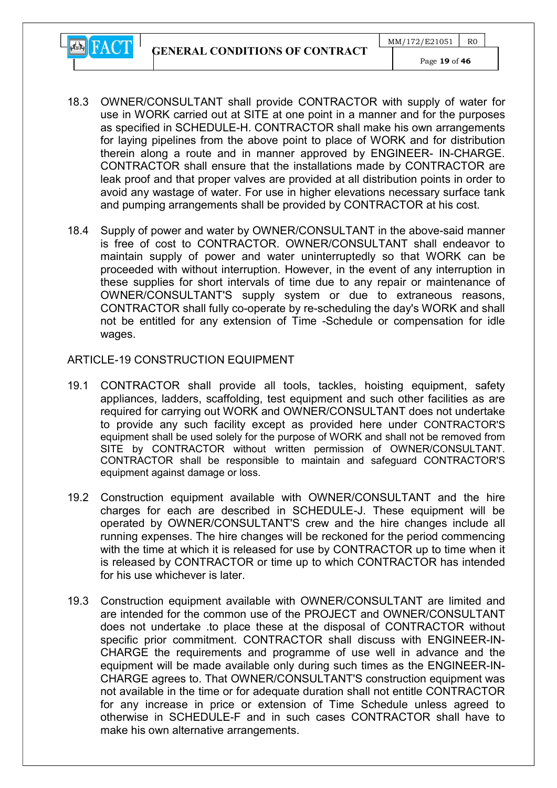GENERAL CONDITIONS OF CONTRACT



- 18.3 OWNER/CONSULTANT shall provide CONTRACTOR with supply of water for use in WORK carried out at SITE at one point in a manner and for the purposes as specified in SCHEDULE-H. CONTRACTOR shall make his own arrangements for laying pipelines from the above point to place of WORK and for distribution therein along a route and in manner approved by ENGINEER- IN-CHARGE. CONTRACTOR shall ensure that the installations made by CONTRACTOR are leak proof and that proper valves are provided at all distribution points in order to avoid any wastage of water. For use in higher elevations necessary surface tank and pumping arrangements shall be provided by CONTRACTOR at his cost.
- 18.4 Supply of power and water by OWNER/CONSULTANT in the above-said manner is free of cost to CONTRACTOR. OWNER/CONSULTANT shall endeavor to maintain supply of power and water uninterruptedly so that WORK can be proceeded with without interruption. However, in the event of any interruption in these supplies for short intervals of time due to any repair or maintenance of OWNER/CONSULTANT'S supply system or due to extraneous reasons, CONTRACTOR shall fully co-operate by re-scheduling the day's WORK and shall not be entitled for any extension of Time -Schedule or compensation for idle wages.

#### ARTICLE-19 CONSTRUCTION EQUIPMENT

- 19.1 CONTRACTOR shall provide all tools, tackles, hoisting equipment, safety appliances, ladders, scaffolding, test equipment and such other facilities as are required for carrying out WORK and OWNER/CONSULTANT does not undertake to provide any such facility except as provided here under CONTRACTOR'S equipment shall be used solely for the purpose of WORK and shall not be removed from SITE by CONTRACTOR without written permission of OWNER/CONSULTANT. CONTRACTOR shall be responsible to maintain and safeguard CONTRACTOR'S equipment against damage or loss.
- 19.2 Construction equipment available with OWNER/CONSULTANT and the hire charges for each are described in SCHEDULE-J. These equipment will be operated by OWNER/CONSULTANT'S crew and the hire changes include all running expenses. The hire changes will be reckoned for the period commencing with the time at which it is released for use by CONTRACTOR up to time when it is released by CONTRACTOR or time up to which CONTRACTOR has intended for his use whichever is later.
- 19.3 Construction equipment available with OWNER/CONSULTANT are limited and are intended for the common use of the PROJECT and OWNER/CONSULTANT does not undertake .to place these at the disposal of CONTRACTOR without specific prior commitment. CONTRACTOR shall discuss with ENGINEER-IN-CHARGE the requirements and programme of use well in advance and the equipment will be made available only during such times as the ENGINEER-IN-CHARGE agrees to. That OWNER/CONSULTANT'S construction equipment was not available in the time or for adequate duration shall not entitle CONTRACTOR for any increase in price or extension of Time Schedule unless agreed to otherwise in SCHEDULE-F and in such cases CONTRACTOR shall have to make his own alternative arrangements.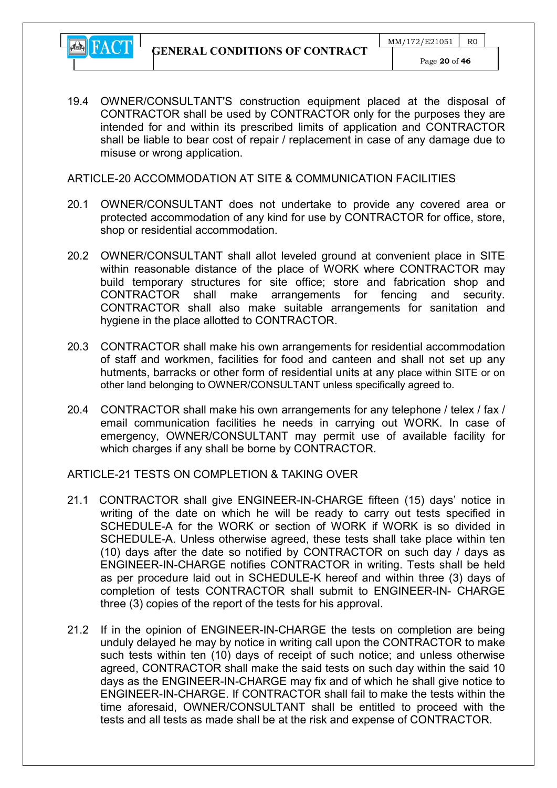19.4 OWNER/CONSULTANT'S construction equipment placed at the disposal of CONTRACTOR shall be used by CONTRACTOR only for the purposes they are intended for and within its prescribed limits of application and CONTRACTOR shall be liable to bear cost of repair / replacement in case of any damage due to misuse or wrong application.

ARTICLE-20 ACCOMMODATION AT SITE & COMMUNICATION FACILITIES

- 20.1 OWNER/CONSULTANT does not undertake to provide any covered area or protected accommodation of any kind for use by CONTRACTOR for office, store, shop or residential accommodation.
- 20.2 OWNER/CONSULTANT shall allot leveled ground at convenient place in SITE within reasonable distance of the place of WORK where CONTRACTOR may build temporary structures for site office; store and fabrication shop and CONTRACTOR shall make arrangements for fencing and security. CONTRACTOR shall also make suitable arrangements for sanitation and hygiene in the place allotted to CONTRACTOR.
- 20.3 CONTRACTOR shall make his own arrangements for residential accommodation of staff and workmen, facilities for food and canteen and shall not set up any hutments, barracks or other form of residential units at any place within SITE or on other land belonging to OWNER/CONSULTANT unless specifically agreed to.
- 20.4 CONTRACTOR shall make his own arrangements for any telephone / telex / fax / email communication facilities he needs in carrying out WORK. In case of emergency, OWNER/CONSULTANT may permit use of available facility for which charges if any shall be borne by CONTRACTOR.

ARTICLE-21 TESTS ON COMPLETION & TAKING OVER

- 21.1 CONTRACTOR shall give ENGINEER-IN-CHARGE fifteen (15) days' notice in writing of the date on which he will be ready to carry out tests specified in SCHEDULE-A for the WORK or section of WORK if WORK is so divided in SCHEDULE-A. Unless otherwise agreed, these tests shall take place within ten (10) days after the date so notified by CONTRACTOR on such day / days as ENGINEER-IN-CHARGE notifies CONTRACTOR in writing. Tests shall be held as per procedure laid out in SCHEDULE-K hereof and within three (3) days of completion of tests CONTRACTOR shall submit to ENGINEER-IN- CHARGE three (3) copies of the report of the tests for his approval.
- 21.2 If in the opinion of ENGINEER-IN-CHARGE the tests on completion are being unduly delayed he may by notice in writing call upon the CONTRACTOR to make such tests within ten (10) days of receipt of such notice; and unless otherwise agreed, CONTRACTOR shall make the said tests on such day within the said 10 days as the ENGINEER-IN-CHARGE may fix and of which he shall give notice to ENGINEER-IN-CHARGE. If CONTRACTOR shall fail to make the tests within the time aforesaid, OWNER/CONSULTANT shall be entitled to proceed with the tests and all tests as made shall be at the risk and expense of CONTRACTOR.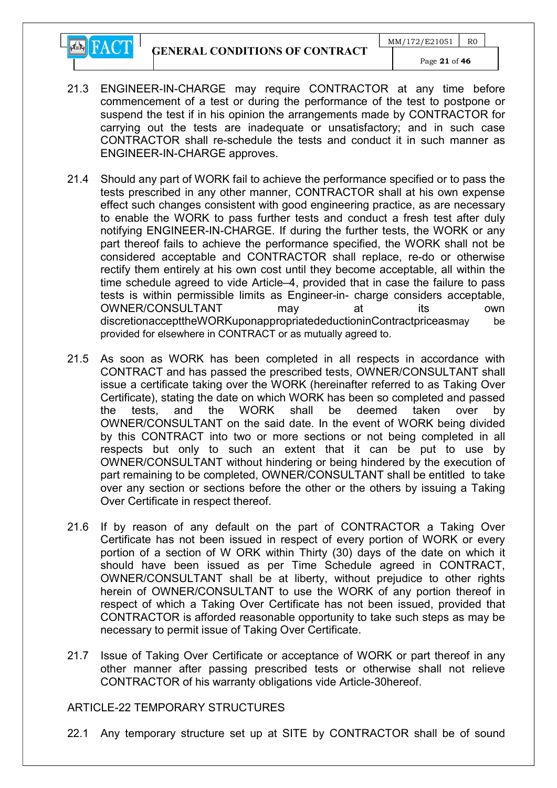GENERAL CONDITIONS OF CONTRACT

**EN** FACT



- 21.3 ENGINEER-IN-CHARGE may require CONTRACTOR at any time before commencement of a test or during the performance of the test to postpone or suspend the test if in his opinion the arrangements made by CONTRACTOR for carrying out the tests are inadequate or unsatisfactory; and in such case CONTRACTOR shall re-schedule the tests and conduct it in such manner as ENGINEER-IN-CHARGE approves.
- 21.4 Should any part of WORK fail to achieve the performance specified or to pass the tests prescribed in any other manner, CONTRACTOR shall at his own expense effect such changes consistent with good engineering practice, as are necessary to enable the WORK to pass further tests and conduct a fresh test after duly notifying ENGINEER-IN-CHARGE. If during the further tests, the WORK or any part thereof fails to achieve the performance specified, the WORK shall not be considered acceptable and CONTRACTOR shall replace, re-do or otherwise rectify them entirely at his own cost until they become acceptable, all within the time schedule agreed to vide Article–4, provided that in case the failure to pass tests is within permissible limits as Engineer-in- charge considers acceptable, OWNER/CONSULTANT may at its own discretionaccepttheWORKuponappropriatedeductioninContractpriceasmay be provided for elsewhere in CONTRACT or as mutually agreed to.
- 21.5 As soon as WORK has been completed in all respects in accordance with CONTRACT and has passed the prescribed tests, OWNER/CONSULTANT shall issue a certificate taking over the WORK (hereinafter referred to as Taking Over Certificate), stating the date on which WORK has been so completed and passed the tests, and the WORK shall be deemed taken over by OWNER/CONSULTANT on the said date. In the event of WORK being divided by this CONTRACT into two or more sections or not being completed in all respects but only to such an extent that it can be put to use by OWNER/CONSULTANT without hindering or being hindered by the execution of part remaining to be completed, OWNER/CONSULTANT shall be entitled to take over any section or sections before the other or the others by issuing a Taking Over Certificate in respect thereof.
- 21.6 If by reason of any default on the part of CONTRACTOR a Taking Over Certificate has not been issued in respect of every portion of WORK or every portion of a section of W ORK within Thirty (30) days of the date on which it should have been issued as per Time Schedule agreed in CONTRACT, OWNER/CONSULTANT shall be at liberty, without prejudice to other rights herein of OWNER/CONSULTANT to use the WORK of any portion thereof in respect of which a Taking Over Certificate has not been issued, provided that CONTRACTOR is afforded reasonable opportunity to take such steps as may be necessary to permit issue of Taking Over Certificate.
- 21.7 Issue of Taking Over Certificate or acceptance of WORK or part thereof in any other manner after passing prescribed tests or otherwise shall not relieve CONTRACTOR of his warranty obligations vide Article-30hereof.

#### ARTICLE-22 TEMPORARY STRUCTURES

22.1 Any temporary structure set up at SITE by CONTRACTOR shall be of sound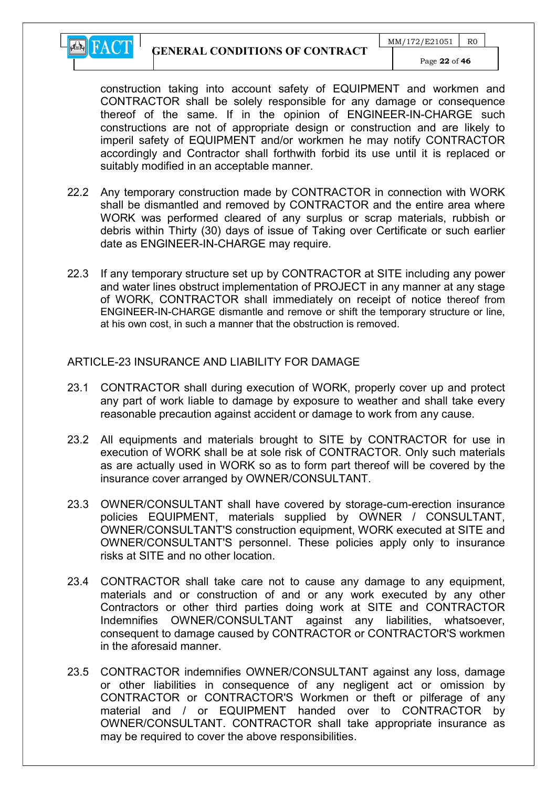

construction taking into account safety of EQUIPMENT and workmen and CONTRACTOR shall be solely responsible for any damage or consequence thereof of the same. If in the opinion of ENGINEER-IN-CHARGE such constructions are not of appropriate design or construction and are likely to imperil safety of EQUIPMENT and/or workmen he may notify CONTRACTOR accordingly and Contractor shall forthwith forbid its use until it is replaced or suitably modified in an acceptable manner.

- 22.2 Any temporary construction made by CONTRACTOR in connection with WORK shall be dismantled and removed by CONTRACTOR and the entire area where WORK was performed cleared of any surplus or scrap materials, rubbish or debris within Thirty (30) days of issue of Taking over Certificate or such earlier date as ENGINEER-IN-CHARGE may require.
- 22.3 If any temporary structure set up by CONTRACTOR at SITE including any power and water lines obstruct implementation of PROJECT in any manner at any stage of WORK, CONTRACTOR shall immediately on receipt of notice thereof from ENGINEER-IN-CHARGE dismantle and remove or shift the temporary structure or line, at his own cost, in such a manner that the obstruction is removed.

#### ARTICLE-23 INSURANCE AND LIABILITY FOR DAMAGE

- 23.1 CONTRACTOR shall during execution of WORK, properly cover up and protect any part of work liable to damage by exposure to weather and shall take every reasonable precaution against accident or damage to work from any cause.
- 23.2 All equipments and materials brought to SITE by CONTRACTOR for use in execution of WORK shall be at sole risk of CONTRACTOR. Only such materials as are actually used in WORK so as to form part thereof will be covered by the insurance cover arranged by OWNER/CONSULTANT.
- 23.3 OWNER/CONSULTANT shall have covered by storage-cum-erection insurance policies EQUIPMENT, materials supplied by OWNER / CONSULTANT, OWNER/CONSULTANT'S construction equipment, WORK executed at SITE and OWNER/CONSULTANT'S personnel. These policies apply only to insurance risks at SITE and no other location.
- 23.4 CONTRACTOR shall take care not to cause any damage to any equipment, materials and or construction of and or any work executed by any other Contractors or other third parties doing work at SITE and CONTRACTOR Indemnifies OWNER/CONSULTANT against any liabilities, whatsoever, consequent to damage caused by CONTRACTOR or CONTRACTOR'S workmen in the aforesaid manner.
- 23.5 CONTRACTOR indemnifies OWNER/CONSULTANT against any loss, damage or other liabilities in consequence of any negligent act or omission by CONTRACTOR or CONTRACTOR'S Workmen or theft or pilferage of any material and / or EQUIPMENT handed over to CONTRACTOR by OWNER/CONSULTANT. CONTRACTOR shall take appropriate insurance as may be required to cover the above responsibilities.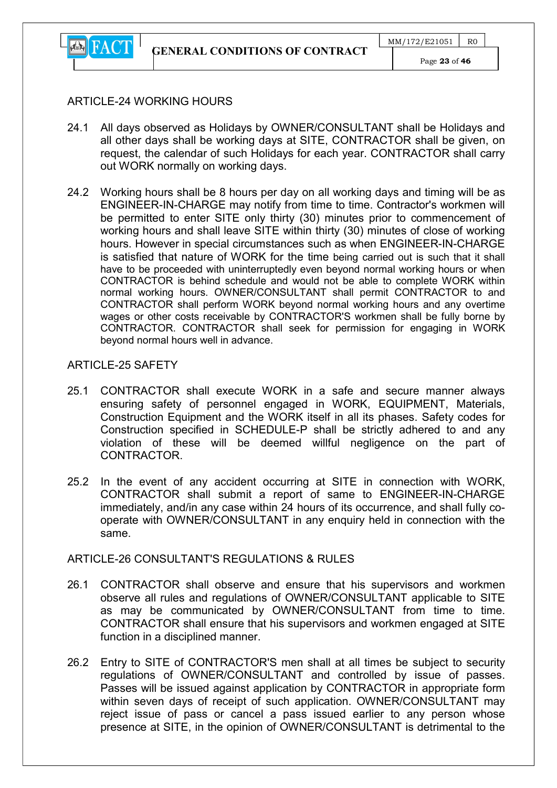

## ARTICLE-24 WORKING HOURS

- 24.1 All days observed as Holidays by OWNER/CONSULTANT shall be Holidays and all other days shall be working days at SITE, CONTRACTOR shall be given, on request, the calendar of such Holidays for each year. CONTRACTOR shall carry out WORK normally on working days.
- 24.2 Working hours shall be 8 hours per day on all working days and timing will be as ENGINEER-IN-CHARGE may notify from time to time. Contractor's workmen will be permitted to enter SITE only thirty (30) minutes prior to commencement of working hours and shall leave SITE within thirty (30) minutes of close of working hours. However in special circumstances such as when ENGINEER-IN-CHARGE is satisfied that nature of WORK for the time being carried out is such that it shall have to be proceeded with uninterruptedly even beyond normal working hours or when CONTRACTOR is behind schedule and would not be able to complete WORK within normal working hours. OWNER/CONSULTANT shall permit CONTRACTOR to and CONTRACTOR shall perform WORK beyond normal working hours and any overtime wages or other costs receivable by CONTRACTOR'S workmen shall be fully borne by CONTRACTOR. CONTRACTOR shall seek for permission for engaging in WORK beyond normal hours well in advance.

## ARTICLE-25 SAFFTY

- 25.1 CONTRACTOR shall execute WORK in a safe and secure manner always ensuring safety of personnel engaged in WORK, EQUIPMENT, Materials, Construction Equipment and the WORK itself in all its phases. Safety codes for Construction specified in SCHEDULE-P shall be strictly adhered to and any violation of these will be deemed willful negligence on the part of CONTRACTOR.
- 25.2 In the event of any accident occurring at SITE in connection with WORK, CONTRACTOR shall submit a report of same to ENGINEER-IN-CHARGE immediately, and/in any case within 24 hours of its occurrence, and shall fully cooperate with OWNER/CONSULTANT in any enquiry held in connection with the same.

## ARTICLE-26 CONSULTANT'S REGULATIONS & RULES

- 26.1 CONTRACTOR shall observe and ensure that his supervisors and workmen observe all rules and regulations of OWNER/CONSULTANT applicable to SITE as may be communicated by OWNER/CONSULTANT from time to time. CONTRACTOR shall ensure that his supervisors and workmen engaged at SITE function in a disciplined manner.
- 26.2 Entry to SITE of CONTRACTOR'S men shall at all times be subject to security regulations of OWNER/CONSULTANT and controlled by issue of passes. Passes will be issued against application by CONTRACTOR in appropriate form within seven days of receipt of such application. OWNER/CONSULTANT may reject issue of pass or cancel a pass issued earlier to any person whose presence at SITE, in the opinion of OWNER/CONSULTANT is detrimental to the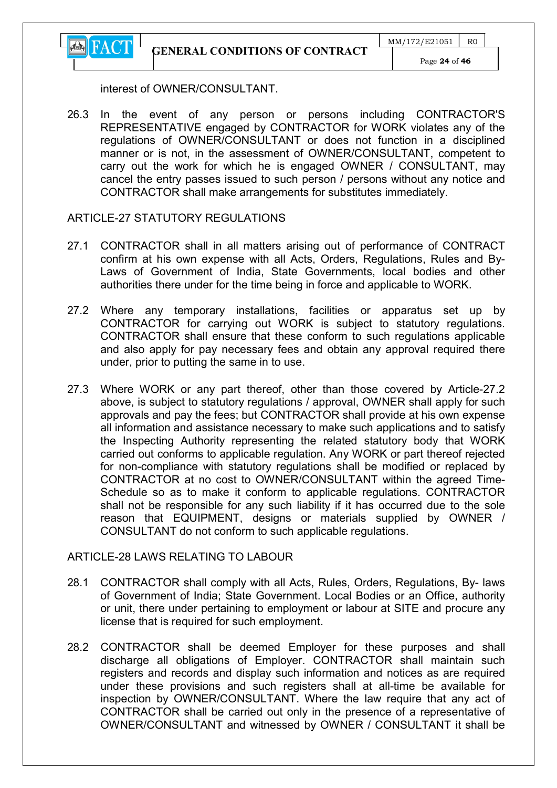GENERAL CONDITIONS OF CONTRACT



interest of OWNER/CONSULTANT.

26.3 In the event of any person or persons including CONTRACTOR'S REPRESENTATIVE engaged by CONTRACTOR for WORK violates any of the regulations of OWNER/CONSULTANT or does not function in a disciplined manner or is not, in the assessment of OWNER/CONSULTANT, competent to carry out the work for which he is engaged OWNER / CONSULTANT, may cancel the entry passes issued to such person / persons without any notice and CONTRACTOR shall make arrangements for substitutes immediately.

#### ARTICLE-27 STATUTORY REGULATIONS

- 27.1 CONTRACTOR shall in all matters arising out of performance of CONTRACT confirm at his own expense with all Acts, Orders, Regulations, Rules and By-Laws of Government of India, State Governments, local bodies and other authorities there under for the time being in force and applicable to WORK.
- 27.2 Where any temporary installations, facilities or apparatus set up by CONTRACTOR for carrying out WORK is subject to statutory regulations. CONTRACTOR shall ensure that these conform to such regulations applicable and also apply for pay necessary fees and obtain any approval required there under, prior to putting the same in to use.
- 27.3 Where WORK or any part thereof, other than those covered by Article-27.2 above, is subject to statutory regulations / approval, OWNER shall apply for such approvals and pay the fees; but CONTRACTOR shall provide at his own expense all information and assistance necessary to make such applications and to satisfy the Inspecting Authority representing the related statutory body that WORK carried out conforms to applicable regulation. Any WORK or part thereof rejected for non-compliance with statutory regulations shall be modified or replaced by CONTRACTOR at no cost to OWNER/CONSULTANT within the agreed Time-Schedule so as to make it conform to applicable regulations. CONTRACTOR shall not be responsible for any such liability if it has occurred due to the sole reason that EQUIPMENT, designs or materials supplied by OWNER / CONSULTANT do not conform to such applicable regulations.

#### ARTICLE-28 LAWS RELATING TO LABOUR

- 28.1 CONTRACTOR shall comply with all Acts, Rules, Orders, Regulations, By- laws of Government of India; State Government. Local Bodies or an Office, authority or unit, there under pertaining to employment or labour at SITE and procure any license that is required for such employment.
- 28.2 CONTRACTOR shall be deemed Employer for these purposes and shall discharge all obligations of Employer. CONTRACTOR shall maintain such registers and records and display such information and notices as are required under these provisions and such registers shall at all-time be available for inspection by OWNER/CONSULTANT. Where the law require that any act of CONTRACTOR shall be carried out only in the presence of a representative of OWNER/CONSULTANT and witnessed by OWNER / CONSULTANT it shall be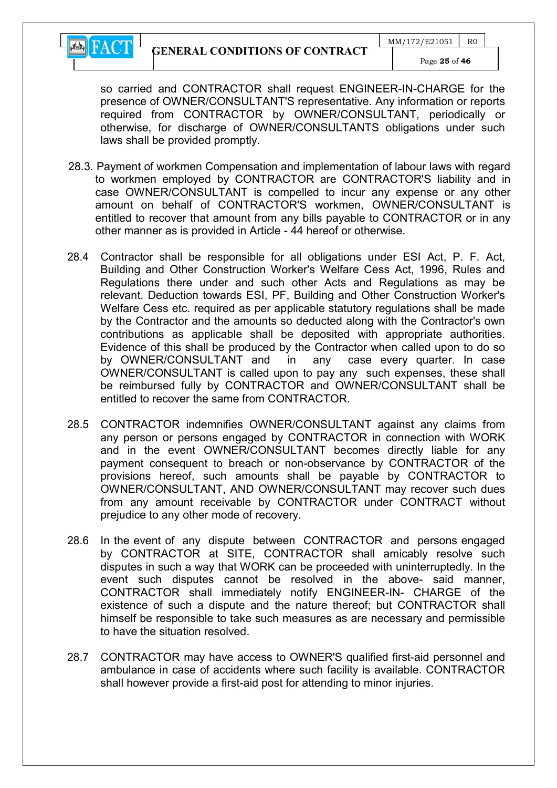

so carried and CONTRACTOR shall request ENGINEER-IN-CHARGE for the presence of OWNER/CONSULTANT'S representative. Any information or reports required from CONTRACTOR by OWNER/CONSULTANT, periodically or otherwise, for discharge of OWNER/CONSULTANTS obligations under such laws shall be provided promptly.

- 28.3. Payment of workmen Compensation and implementation of labour laws with regard to workmen employed by CONTRACTOR are CONTRACTOR'S liability and in case OWNER/CONSULTANT is compelled to incur any expense or any other amount on behalf of CONTRACTOR'S workmen, OWNER/CONSULTANT is entitled to recover that amount from any bills payable to CONTRACTOR or in any other manner as is provided in Article - 44 hereof or otherwise.
- 28.4 Contractor shall be responsible for all obligations under ESI Act, P. F. Act, Building and Other Construction Worker's Welfare Cess Act, 1996, Rules and Regulations there under and such other Acts and Regulations as may be relevant. Deduction towards ESI, PF, Building and Other Construction Worker's Welfare Cess etc. required as per applicable statutory regulations shall be made by the Contractor and the amounts so deducted along with the Contractor's own contributions as applicable shall be deposited with appropriate authorities. Evidence of this shall be produced by the Contractor when called upon to do so by OWNER/CONSULTANT and in any case every quarter. In case OWNER/CONSULTANT is called upon to pay any such expenses, these shall be reimbursed fully by CONTRACTOR and OWNER/CONSULTANT shall be entitled to recover the same from CONTRACTOR.
- 28.5 CONTRACTOR indemnifies OWNER/CONSULTANT against any claims from any person or persons engaged by CONTRACTOR in connection with WORK and in the event OWNER/CONSULTANT becomes directly liable for any payment consequent to breach or non-observance by CONTRACTOR of the provisions hereof, such amounts shall be payable by CONTRACTOR to OWNER/CONSULTANT, AND OWNER/CONSULTANT may recover such dues from any amount receivable by CONTRACTOR under CONTRACT without prejudice to any other mode of recovery.
- 28.6 In the event of any dispute between CONTRACTOR and persons engaged by CONTRACTOR at SITE, CONTRACTOR shall amicably resolve such disputes in such a way that WORK can be proceeded with uninterruptedly. In the event such disputes cannot be resolved in the above- said manner, CONTRACTOR shall immediately notify ENGINEER-IN- CHARGE of the existence of such a dispute and the nature thereof; but CONTRACTOR shall himself be responsible to take such measures as are necessary and permissible to have the situation resolved.
- 28.7 CONTRACTOR may have access to OWNER'S qualified first-aid personnel and ambulance in case of accidents where such facility is available. CONTRACTOR shall however provide a first-aid post for attending to minor injuries.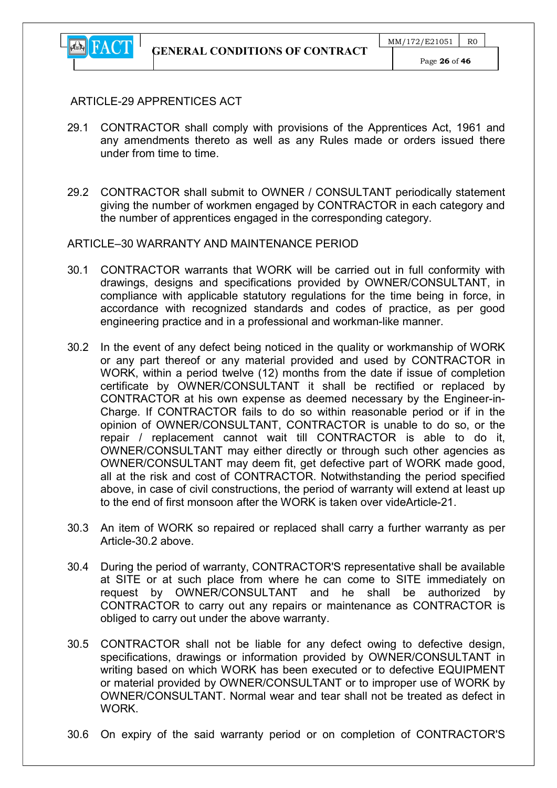

#### ARTICLE-29 APPRENTICES ACT

- 29.1 CONTRACTOR shall comply with provisions of the Apprentices Act, 1961 and any amendments thereto as well as any Rules made or orders issued there under from time to time.
- 29.2 CONTRACTOR shall submit to OWNER / CONSULTANT periodically statement giving the number of workmen engaged by CONTRACTOR in each category and the number of apprentices engaged in the corresponding category.

## ARTICLE–30 WARRANTY AND MAINTENANCE PERIOD

- 30.1 CONTRACTOR warrants that WORK will be carried out in full conformity with drawings, designs and specifications provided by OWNER/CONSULTANT, in compliance with applicable statutory regulations for the time being in force, in accordance with recognized standards and codes of practice, as per good engineering practice and in a professional and workman-like manner.
- 30.2 In the event of any defect being noticed in the quality or workmanship of WORK or any part thereof or any material provided and used by CONTRACTOR in WORK, within a period twelve (12) months from the date if issue of completion certificate by OWNER/CONSULTANT it shall be rectified or replaced by CONTRACTOR at his own expense as deemed necessary by the Engineer-in-Charge. If CONTRACTOR fails to do so within reasonable period or if in the opinion of OWNER/CONSULTANT, CONTRACTOR is unable to do so, or the repair / replacement cannot wait till CONTRACTOR is able to do it, OWNER/CONSULTANT may either directly or through such other agencies as OWNER/CONSULTANT may deem fit, get defective part of WORK made good, all at the risk and cost of CONTRACTOR. Notwithstanding the period specified above, in case of civil constructions, the period of warranty will extend at least up to the end of first monsoon after the WORK is taken over videArticle-21.
- 30.3 An item of WORK so repaired or replaced shall carry a further warranty as per Article-30.2 above.
- 30.4 During the period of warranty, CONTRACTOR'S representative shall be available at SITE or at such place from where he can come to SITE immediately on request by OWNER/CONSULTANT and he shall be authorized by CONTRACTOR to carry out any repairs or maintenance as CONTRACTOR is obliged to carry out under the above warranty.
- 30.5 CONTRACTOR shall not be liable for any defect owing to defective design, specifications, drawings or information provided by OWNER/CONSULTANT in writing based on which WORK has been executed or to defective EQUIPMENT or material provided by OWNER/CONSULTANT or to improper use of WORK by OWNER/CONSULTANT. Normal wear and tear shall not be treated as defect in **WORK**
- 30.6 On expiry of the said warranty period or on completion of CONTRACTOR'S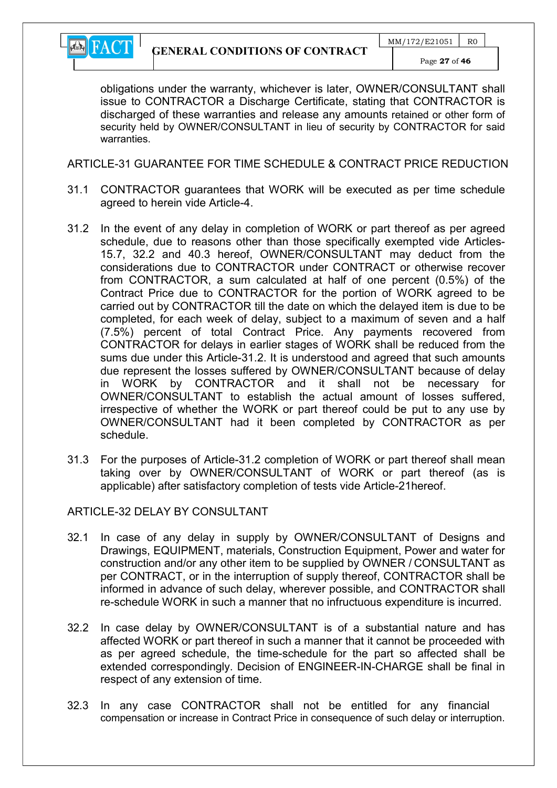

obligations under the warranty, whichever is later, OWNER/CONSULTANT shall issue to CONTRACTOR a Discharge Certificate, stating that CONTRACTOR is discharged of these warranties and release any amounts retained or other form of security held by OWNER/CONSULTANT in lieu of security by CONTRACTOR for said warranties.

ARTICLE-31 GUARANTEE FOR TIME SCHEDULE & CONTRACT PRICE REDUCTION

- 31.1 CONTRACTOR guarantees that WORK will be executed as per time schedule agreed to herein vide Article-4.
- 31.2 In the event of any delay in completion of WORK or part thereof as per agreed schedule, due to reasons other than those specifically exempted vide Articles-15.7, 32.2 and 40.3 hereof, OWNER/CONSULTANT may deduct from the considerations due to CONTRACTOR under CONTRACT or otherwise recover from CONTRACTOR, a sum calculated at half of one percent (0.5%) of the Contract Price due to CONTRACTOR for the portion of WORK agreed to be carried out by CONTRACTOR till the date on which the delayed item is due to be completed, for each week of delay, subject to a maximum of seven and a half (7.5%) percent of total Contract Price. Any payments recovered from CONTRACTOR for delays in earlier stages of WORK shall be reduced from the sums due under this Article-31.2. It is understood and agreed that such amounts due represent the losses suffered by OWNER/CONSULTANT because of delay in WORK by CONTRACTOR and it shall not be necessary for OWNER/CONSULTANT to establish the actual amount of losses suffered, irrespective of whether the WORK or part thereof could be put to any use by OWNER/CONSULTANT had it been completed by CONTRACTOR as per schedule.
- 31.3 For the purposes of Article-31.2 completion of WORK or part thereof shall mean taking over by OWNER/CONSULTANT of WORK or part thereof (as is applicable) after satisfactory completion of tests vide Article-21hereof.

#### ARTICLE-32 DELAY BY CONSULTANT

- 32.1 In case of any delay in supply by OWNER/CONSULTANT of Designs and Drawings, EQUIPMENT, materials, Construction Equipment, Power and water for construction and/or any other item to be supplied by OWNER / CONSULTANT as per CONTRACT, or in the interruption of supply thereof, CONTRACTOR shall be informed in advance of such delay, wherever possible, and CONTRACTOR shall re-schedule WORK in such a manner that no infructuous expenditure is incurred.
- 32.2 In case delay by OWNER/CONSULTANT is of a substantial nature and has affected WORK or part thereof in such a manner that it cannot be proceeded with as per agreed schedule, the time-schedule for the part so affected shall be extended correspondingly. Decision of ENGINEER-IN-CHARGE shall be final in respect of any extension of time.
- 32.3 In any case CONTRACTOR shall not be entitled for any financial compensation or increase in Contract Price in consequence of such delay or interruption.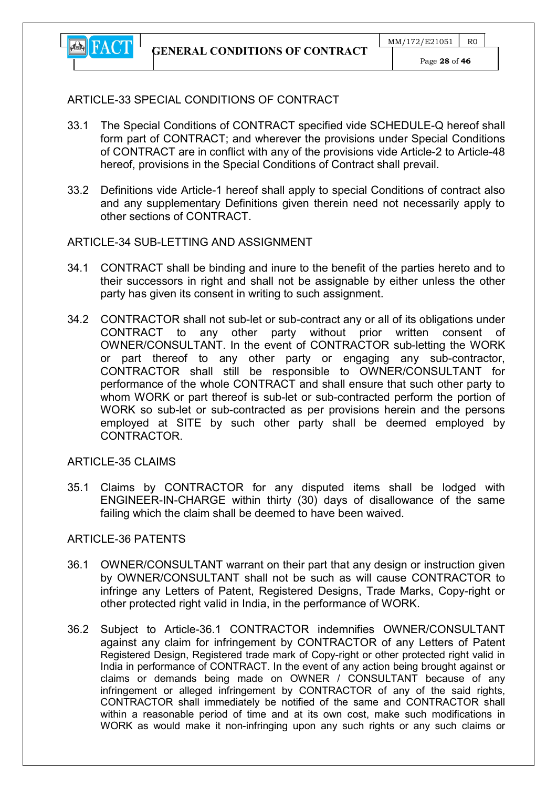

## ARTICLE-33 SPECIAL CONDITIONS OF CONTRACT

- 33.1 The Special Conditions of CONTRACT specified vide SCHEDULE-Q hereof shall form part of CONTRACT; and wherever the provisions under Special Conditions of CONTRACT are in conflict with any of the provisions vide Article-2 to Article-48 hereof, provisions in the Special Conditions of Contract shall prevail.
- 33.2 Definitions vide Article-1 hereof shall apply to special Conditions of contract also and any supplementary Definitions given therein need not necessarily apply to other sections of CONTRACT.

## ARTICLE-34 SUB-LETTING AND ASSIGNMENT

- 34.1 CONTRACT shall be binding and inure to the benefit of the parties hereto and to their successors in right and shall not be assignable by either unless the other party has given its consent in writing to such assignment.
- 34.2 CONTRACTOR shall not sub-let or sub-contract any or all of its obligations under CONTRACT to any other party without prior written consent of OWNER/CONSULTANT. In the event of CONTRACTOR sub-letting the WORK or part thereof to any other party or engaging any sub-contractor, CONTRACTOR shall still be responsible to OWNER/CONSULTANT for performance of the whole CONTRACT and shall ensure that such other party to whom WORK or part thereof is sub-let or sub-contracted perform the portion of WORK so sub-let or sub-contracted as per provisions herein and the persons employed at SITE by such other party shall be deemed employed by CONTRACTOR.

ARTICLE-35 CLAIMS

35.1 Claims by CONTRACTOR for any disputed items shall be lodged with ENGINEER-IN-CHARGE within thirty (30) days of disallowance of the same failing which the claim shall be deemed to have been waived.

## ARTICLE-36 PATENTS

- 36.1 OWNER/CONSULTANT warrant on their part that any design or instruction given by OWNER/CONSULTANT shall not be such as will cause CONTRACTOR to infringe any Letters of Patent, Registered Designs, Trade Marks, Copy-right or other protected right valid in India, in the performance of WORK.
- 36.2 Subject to Article-36.1 CONTRACTOR indemnifies OWNER/CONSULTANT against any claim for infringement by CONTRACTOR of any Letters of Patent Registered Design, Registered trade mark of Copy-right or other protected right valid in India in performance of CONTRACT. In the event of any action being brought against or claims or demands being made on OWNER / CONSULTANT because of any infringement or alleged infringement by CONTRACTOR of any of the said rights, CONTRACTOR shall immediately be notified of the same and CONTRACTOR shall within a reasonable period of time and at its own cost, make such modifications in WORK as would make it non-infringing upon any such rights or any such claims or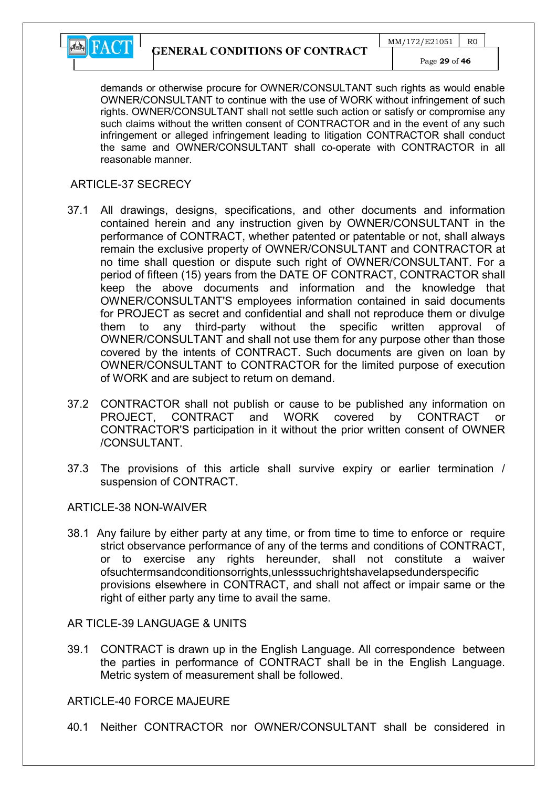

demands or otherwise procure for OWNER/CONSULTANT such rights as would enable OWNER/CONSULTANT to continue with the use of WORK without infringement of such rights. OWNER/CONSULTANT shall not settle such action or satisfy or compromise any such claims without the written consent of CONTRACTOR and in the event of any such infringement or alleged infringement leading to litigation CONTRACTOR shall conduct the same and OWNER/CONSULTANT shall co-operate with CONTRACTOR in all reasonable manner.

#### ARTICLE-37 SECRECY

- 37.1 All drawings, designs, specifications, and other documents and information contained herein and any instruction given by OWNER/CONSULTANT in the performance of CONTRACT, whether patented or patentable or not, shall always remain the exclusive property of OWNER/CONSULTANT and CONTRACTOR at no time shall question or dispute such right of OWNER/CONSULTANT. For a period of fifteen (15) years from the DATE OF CONTRACT, CONTRACTOR shall keep the above documents and information and the knowledge that OWNER/CONSULTANT'S employees information contained in said documents for PROJECT as secret and confidential and shall not reproduce them or divulge them to any third-party without the specific written approval of OWNER/CONSULTANT and shall not use them for any purpose other than those covered by the intents of CONTRACT. Such documents are given on loan by OWNER/CONSULTANT to CONTRACTOR for the limited purpose of execution of WORK and are subject to return on demand.
- 37.2 CONTRACTOR shall not publish or cause to be published any information on PROJECT, CONTRACT and WORK covered by CONTRACT or CONTRACTOR'S participation in it without the prior written consent of OWNER /CONSULTANT.
- 37.3 The provisions of this article shall survive expiry or earlier termination / suspension of CONTRACT.

#### ARTICLE-38 NON-WAIVER

38.1 Any failure by either party at any time, or from time to time to enforce or require strict observance performance of any of the terms and conditions of CONTRACT, or to exercise any rights hereunder, shall not constitute a waiver ofsuchtermsandconditionsorrights,unlesssuchrightshavelapsedunderspecific provisions elsewhere in CONTRACT, and shall not affect or impair same or the right of either party any time to avail the same.

AR TICLE-39 LANGUAGE & UNITS

39.1 CONTRACT is drawn up in the English Language. All correspondence between the parties in performance of CONTRACT shall be in the English Language. Metric system of measurement shall be followed.

#### ARTICLE-40 FORCE MAJEURE

40.1 Neither CONTRACTOR nor OWNER/CONSULTANT shall be considered in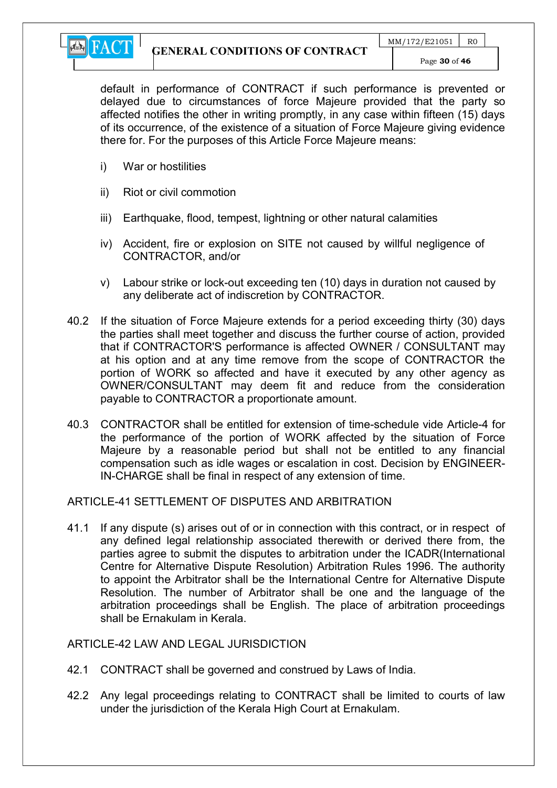

default in performance of CONTRACT if such performance is prevented or delayed due to circumstances of force Majeure provided that the party so affected notifies the other in writing promptly, in any case within fifteen (15) days of its occurrence, of the existence of a situation of Force Majeure giving evidence there for. For the purposes of this Article Force Majeure means:

- i) War or hostilities
- ii) Riot or civil commotion
- iii) Earthquake, flood, tempest, lightning or other natural calamities
- iv) Accident, fire or explosion on SITE not caused by willful negligence of CONTRACTOR, and/or
- v) Labour strike or lock-out exceeding ten (10) days in duration not caused by any deliberate act of indiscretion by CONTRACTOR.
- 40.2 If the situation of Force Majeure extends for a period exceeding thirty (30) days the parties shall meet together and discuss the further course of action, provided that if CONTRACTOR'S performance is affected OWNER / CONSULTANT may at his option and at any time remove from the scope of CONTRACTOR the portion of WORK so affected and have it executed by any other agency as OWNER/CONSULTANT may deem fit and reduce from the consideration payable to CONTRACTOR a proportionate amount.
- 40.3 CONTRACTOR shall be entitled for extension of time-schedule vide Article-4 for the performance of the portion of WORK affected by the situation of Force Majeure by a reasonable period but shall not be entitled to any financial compensation such as idle wages or escalation in cost. Decision by ENGINEER-IN-CHARGE shall be final in respect of any extension of time.

#### ARTICLE-41 SETTLEMENT OF DISPUTES AND ARBITRATION

41.1 If any dispute (s) arises out of or in connection with this contract, or in respect of any defined legal relationship associated therewith or derived there from, the parties agree to submit the disputes to arbitration under the ICADR(International Centre for Alternative Dispute Resolution) Arbitration Rules 1996. The authority to appoint the Arbitrator shall be the International Centre for Alternative Dispute Resolution. The number of Arbitrator shall be one and the language of the arbitration proceedings shall be English. The place of arbitration proceedings shall be Ernakulam in Kerala.

#### ARTICLE-42 LAW AND LEGAL JURISDICTION

- 42.1 CONTRACT shall be governed and construed by Laws of India.
- 42.2 Any legal proceedings relating to CONTRACT shall be limited to courts of law under the jurisdiction of the Kerala High Court at Ernakulam.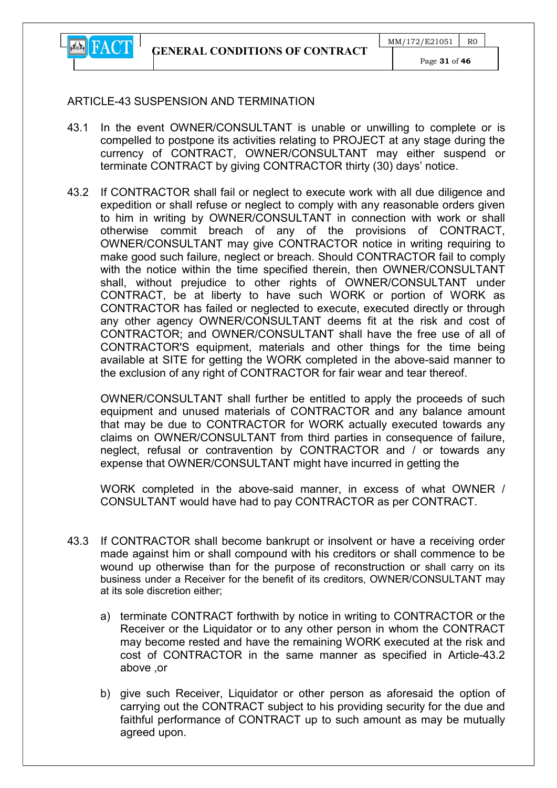

Page 31 of 46

## ARTICLE-43 SUSPENSION AND TERMINATION

- 43.1 In the event OWNER/CONSULTANT is unable or unwilling to complete or is compelled to postpone its activities relating to PROJECT at any stage during the currency of CONTRACT, OWNER/CONSULTANT may either suspend or terminate CONTRACT by giving CONTRACTOR thirty (30) days' notice.
- 43.2 If CONTRACTOR shall fail or neglect to execute work with all due diligence and expedition or shall refuse or neglect to comply with any reasonable orders given to him in writing by OWNER/CONSULTANT in connection with work or shall otherwise commit breach of any of the provisions of CONTRACT, OWNER/CONSULTANT may give CONTRACTOR notice in writing requiring to make good such failure, neglect or breach. Should CONTRACTOR fail to comply with the notice within the time specified therein, then OWNER/CONSULTANT shall, without prejudice to other rights of OWNER/CONSULTANT under CONTRACT, be at liberty to have such WORK or portion of WORK as CONTRACTOR has failed or neglected to execute, executed directly or through any other agency OWNER/CONSULTANT deems fit at the risk and cost of CONTRACTOR; and OWNER/CONSULTANT shall have the free use of all of CONTRACTOR'S equipment, materials and other things for the time being available at SITE for getting the WORK completed in the above-said manner to the exclusion of any right of CONTRACTOR for fair wear and tear thereof.

OWNER/CONSULTANT shall further be entitled to apply the proceeds of such equipment and unused materials of CONTRACTOR and any balance amount that may be due to CONTRACTOR for WORK actually executed towards any claims on OWNER/CONSULTANT from third parties in consequence of failure, neglect, refusal or contravention by CONTRACTOR and / or towards any expense that OWNER/CONSULTANT might have incurred in getting the

WORK completed in the above-said manner, in excess of what OWNER / CONSULTANT would have had to pay CONTRACTOR as per CONTRACT.

- 43.3 If CONTRACTOR shall become bankrupt or insolvent or have a receiving order made against him or shall compound with his creditors or shall commence to be wound up otherwise than for the purpose of reconstruction or shall carry on its business under a Receiver for the benefit of its creditors, OWNER/CONSULTANT may at its sole discretion either;
	- a) terminate CONTRACT forthwith by notice in writing to CONTRACTOR or the Receiver or the Liquidator or to any other person in whom the CONTRACT may become rested and have the remaining WORK executed at the risk and cost of CONTRACTOR in the same manner as specified in Article-43.2 above ,or
	- b) give such Receiver, Liquidator or other person as aforesaid the option of carrying out the CONTRACT subject to his providing security for the due and faithful performance of CONTRACT up to such amount as may be mutually agreed upon.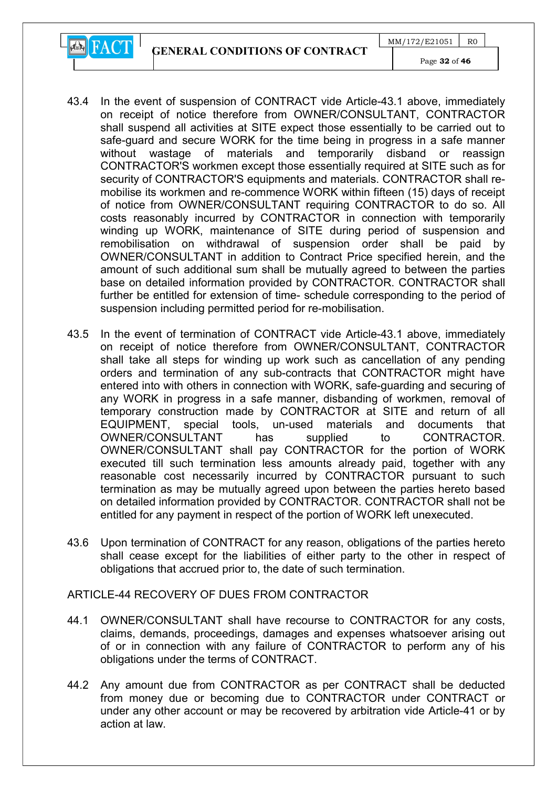GENERAL CONDITIONS OF CONTRACT

 $MM/172/E21051$  RO



Page 32 of 46

- 43.4 In the event of suspension of CONTRACT vide Article-43.1 above, immediately on receipt of notice therefore from OWNER/CONSULTANT, CONTRACTOR shall suspend all activities at SITE expect those essentially to be carried out to safe-guard and secure WORK for the time being in progress in a safe manner without wastage of materials and temporarily disband or reassign CONTRACTOR'S workmen except those essentially required at SITE such as for security of CONTRACTOR'S equipments and materials. CONTRACTOR shall remobilise its workmen and re-commence WORK within fifteen (15) days of receipt of notice from OWNER/CONSULTANT requiring CONTRACTOR to do so. All costs reasonably incurred by CONTRACTOR in connection with temporarily winding up WORK, maintenance of SITE during period of suspension and remobilisation on withdrawal of suspension order shall be paid by OWNER/CONSULTANT in addition to Contract Price specified herein, and the amount of such additional sum shall be mutually agreed to between the parties base on detailed information provided by CONTRACTOR. CONTRACTOR shall further be entitled for extension of time- schedule corresponding to the period of suspension including permitted period for re-mobilisation.
- 43.5 In the event of termination of CONTRACT vide Article-43.1 above, immediately on receipt of notice therefore from OWNER/CONSULTANT, CONTRACTOR shall take all steps for winding up work such as cancellation of any pending orders and termination of any sub-contracts that CONTRACTOR might have entered into with others in connection with WORK, safe-guarding and securing of any WORK in progress in a safe manner, disbanding of workmen, removal of temporary construction made by CONTRACTOR at SITE and return of all EQUIPMENT, special tools, un-used materials and documents that OWNER/CONSULTANT has supplied to CONTRACTOR. OWNER/CONSULTANT shall pay CONTRACTOR for the portion of WORK executed till such termination less amounts already paid, together with any reasonable cost necessarily incurred by CONTRACTOR pursuant to such termination as may be mutually agreed upon between the parties hereto based on detailed information provided by CONTRACTOR. CONTRACTOR shall not be entitled for any payment in respect of the portion of WORK left unexecuted.
- 43.6 Upon termination of CONTRACT for any reason, obligations of the parties hereto shall cease except for the liabilities of either party to the other in respect of obligations that accrued prior to, the date of such termination.

## ARTICLE-44 RECOVERY OF DUES FROM CONTRACTOR

- 44.1 OWNER/CONSULTANT shall have recourse to CONTRACTOR for any costs, claims, demands, proceedings, damages and expenses whatsoever arising out of or in connection with any failure of CONTRACTOR to perform any of his obligations under the terms of CONTRACT.
- 44.2 Any amount due from CONTRACTOR as per CONTRACT shall be deducted from money due or becoming due to CONTRACTOR under CONTRACT or under any other account or may be recovered by arbitration vide Article-41 or by action at law.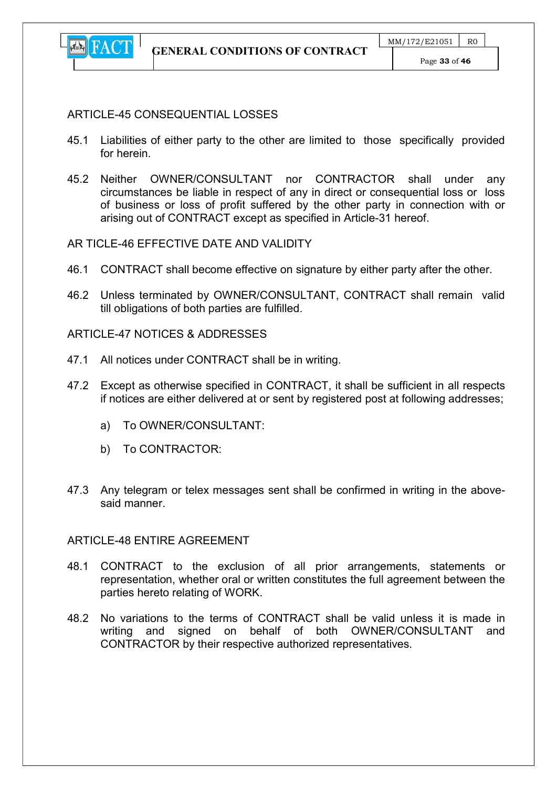

#### ARTICLE-45 CONSEQUENTIAL LOSSES

- 45.1 Liabilities of either party to the other are limited to those specifically provided for herein.
- 45.2 Neither OWNER/CONSULTANT nor CONTRACTOR shall under any circumstances be liable in respect of any in direct or consequential loss or loss of business or loss of profit suffered by the other party in connection with or arising out of CONTRACT except as specified in Article-31 hereof.

#### AR TICLE-46 EFFECTIVE DATE AND VALIDITY

- 46.1 CONTRACT shall become effective on signature by either party after the other.
- 46.2 Unless terminated by OWNER/CONSULTANT, CONTRACT shall remain valid till obligations of both parties are fulfilled.

#### ARTICLE-47 NOTICES & ADDRESSES

- 47.1 All notices under CONTRACT shall be in writing.
- 47.2 Except as otherwise specified in CONTRACT, it shall be sufficient in all respects if notices are either delivered at or sent by registered post at following addresses;
	- a) To OWNER/CONSULTANT:
	- b) To CONTRACTOR:
- 47.3 Any telegram or telex messages sent shall be confirmed in writing in the abovesaid manner.

#### ARTICLE-48 ENTIRE AGREEMENT

- 48.1 CONTRACT to the exclusion of all prior arrangements, statements or representation, whether oral or written constitutes the full agreement between the parties hereto relating of WORK.
- 48.2 No variations to the terms of CONTRACT shall be valid unless it is made in writing and signed on behalf of both OWNER/CONSULTANT and CONTRACTOR by their respective authorized representatives.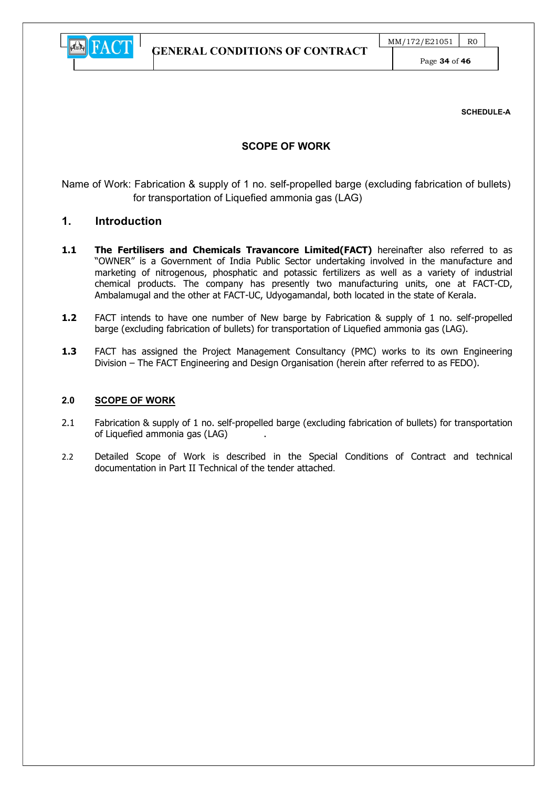

Page 34 of 46

SCHEDULE-A

#### SCOPE OF WORK

Name of Work: Fabrication & supply of 1 no. self-propelled barge (excluding fabrication of bullets) for transportation of Liquefied ammonia gas (LAG)

#### 1. Introduction

- 1.1 The Fertilisers and Chemicals Travancore Limited(FACT) hereinafter also referred to as "OWNER" is a Government of India Public Sector undertaking involved in the manufacture and marketing of nitrogenous, phosphatic and potassic fertilizers as well as a variety of industrial chemical products. The company has presently two manufacturing units, one at FACT-CD, Ambalamugal and the other at FACT-UC, Udyogamandal, both located in the state of Kerala.
- 1.2 FACT intends to have one number of New barge by Fabrication & supply of 1 no. self-propelled barge (excluding fabrication of bullets) for transportation of Liquefied ammonia gas (LAG).
- 1.3 FACT has assigned the Project Management Consultancy (PMC) works to its own Engineering Division – The FACT Engineering and Design Organisation (herein after referred to as FEDO).

#### 2.0 SCOPE OF WORK

- 2.1 Fabrication & supply of 1 no. self-propelled barge (excluding fabrication of bullets) for transportation of Liquefied ammonia gas (LAG) .
- 2.2 Detailed Scope of Work is described in the Special Conditions of Contract and technical documentation in Part II Technical of the tender attached.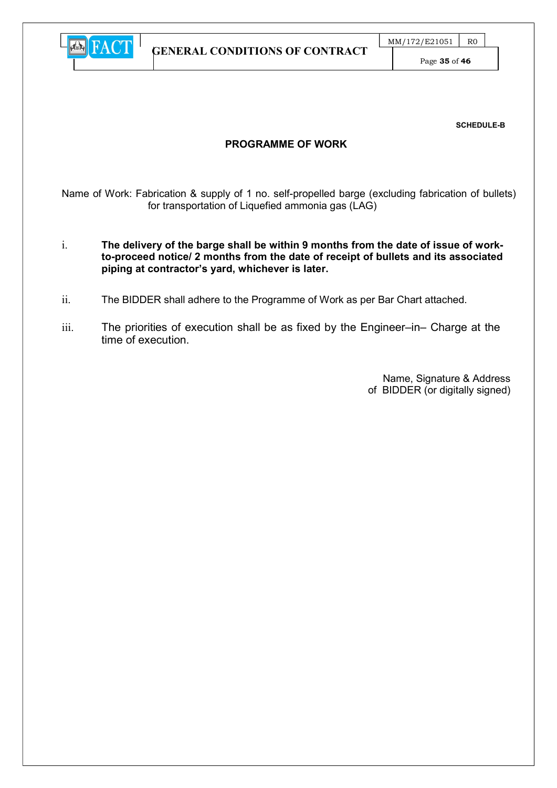

Page 35 of 46

SCHEDULE-B

#### PROGRAMME OF WORK

Name of Work: Fabrication & supply of 1 no. self-propelled barge (excluding fabrication of bullets) for transportation of Liquefied ammonia gas (LAG)

- i. The delivery of the barge shall be within 9 months from the date of issue of workto-proceed notice/ 2 months from the date of receipt of bullets and its associated piping at contractor's yard, whichever is later.
- ii. The BIDDER shall adhere to the Programme of Work as per Bar Chart attached.
- iii. The priorities of execution shall be as fixed by the Engineer–in– Charge at the time of execution.

Name, Signature & Address of BIDDER (or digitally signed)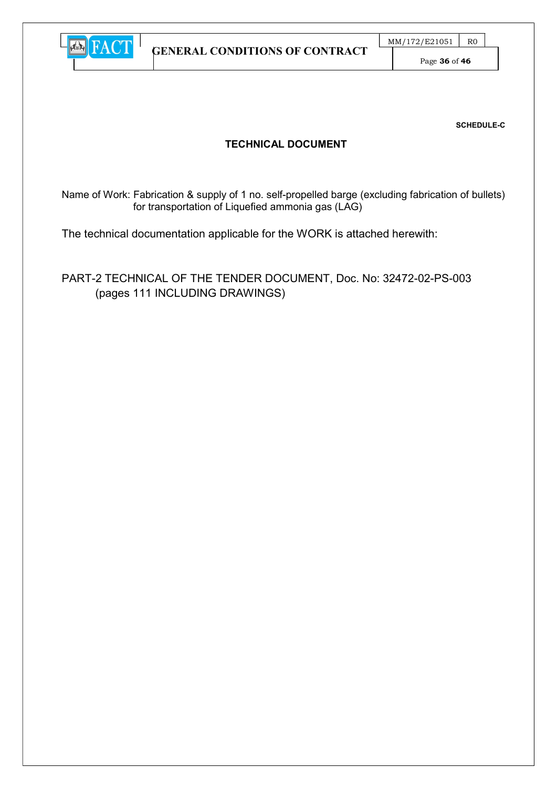

Page 36 of 46

SCHEDULE-C

## TECHNICAL DOCUMENT

Name of Work: Fabrication & supply of 1 no. self-propelled barge (excluding fabrication of bullets) for transportation of Liquefied ammonia gas (LAG)

The technical documentation applicable for the WORK is attached herewith:

PART-2 TECHNICAL OF THE TENDER DOCUMENT, Doc. No: 32472-02-PS-003 (pages 111 INCLUDING DRAWINGS)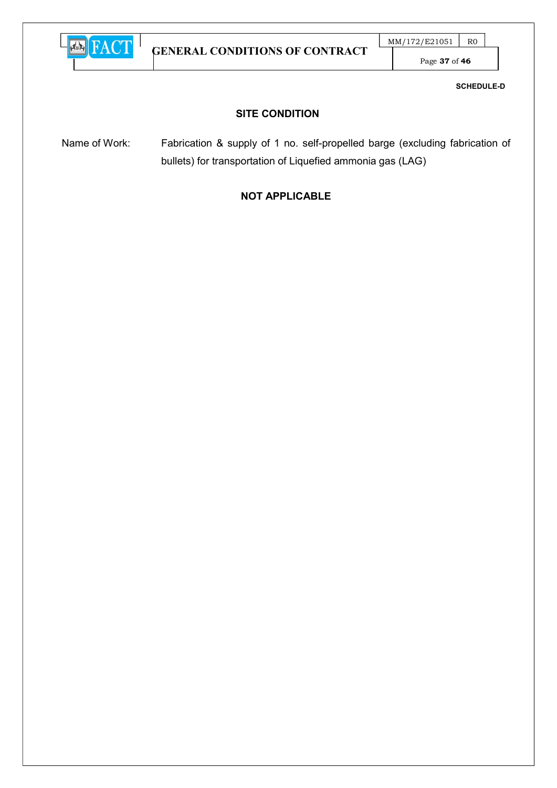

GENERAL CONDITIONS OF CONTRACT

 $MM/172/E21051$  RO

Page 37 of 46

SCHEDULE-D

## SITE CONDITION

Name of Work: Fabrication & supply of 1 no. self-propelled barge (excluding fabrication of bullets) for transportation of Liquefied ammonia gas (LAG)

# NOT APPLICABLE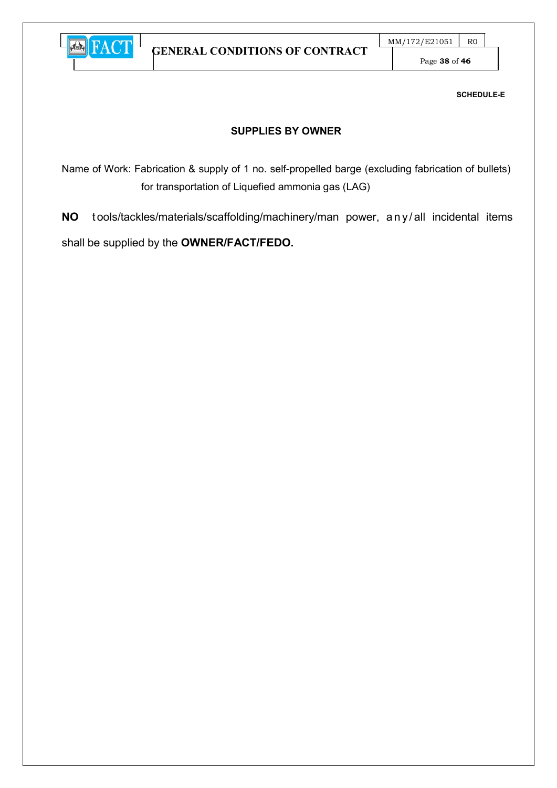

Page 38 of 46

SCHEDULE-E

## SUPPLIES BY OWNER

Name of Work: Fabrication & supply of 1 no. self-propelled barge (excluding fabrication of bullets) for transportation of Liquefied ammonia gas (LAG)

NO tools/tackles/materials/scaffolding/machinery/man power, any/all incidental items shall be supplied by the OWNER/FACT/FEDO.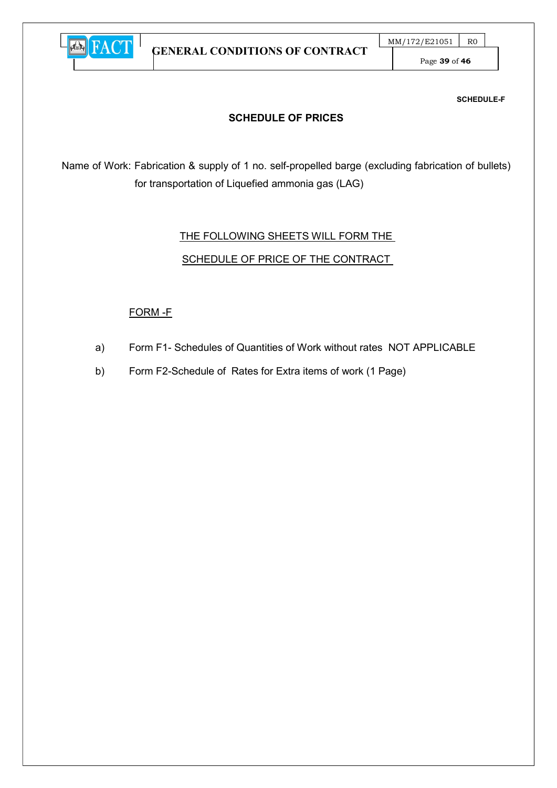

Page 39 of 46

SCHEDULE-F

## SCHEDULE OF PRICES

Name of Work: Fabrication & supply of 1 no. self-propelled barge (excluding fabrication of bullets) for transportation of Liquefied ammonia gas (LAG)

# THE FOLLOWING SHEETS WILL FORM THE

## SCHEDULE OF PRICE OF THE CONTRACT

## FORM -F

- a) Form F1- Schedules of Quantities of Work without rates NOT APPLICABLE
- b) Form F2-Schedule of Rates for Extra items of work (1 Page)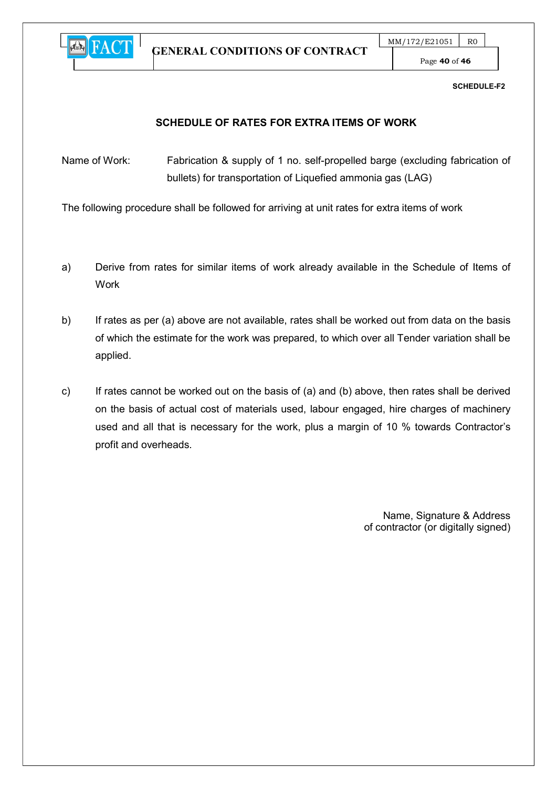

GENERAL CONDITIONS OF CONTRACT

Page 40 of 46

SCHEDULE-F2

## SCHEDULE OF RATES FOR EXTRA ITEMS OF WORK

Name of Work: Fabrication & supply of 1 no. self-propelled barge (excluding fabrication of bullets) for transportation of Liquefied ammonia gas (LAG)

The following procedure shall be followed for arriving at unit rates for extra items of work

- a) Derive from rates for similar items of work already available in the Schedule of Items of Work
- b) If rates as per (a) above are not available, rates shall be worked out from data on the basis of which the estimate for the work was prepared, to which over all Tender variation shall be applied.
- c) If rates cannot be worked out on the basis of (a) and (b) above, then rates shall be derived on the basis of actual cost of materials used, labour engaged, hire charges of machinery used and all that is necessary for the work, plus a margin of 10 % towards Contractor's profit and overheads.

 Name, Signature & Address of contractor (or digitally signed)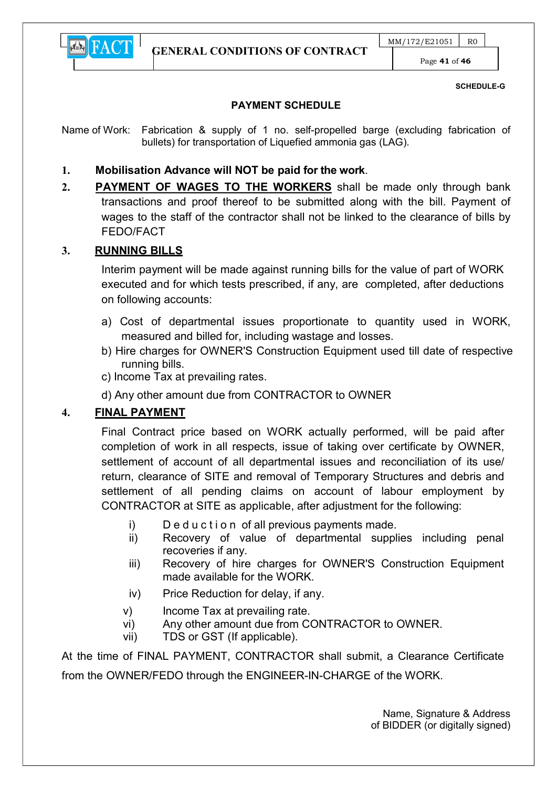

Page 41 of 46

#### SCHEDULE-G

#### PAYMENT SCHEDULE

Name of Work: Fabrication & supply of 1 no. self-propelled barge (excluding fabrication of bullets) for transportation of Liquefied ammonia gas (LAG).

## 1. Mobilisation Advance will NOT be paid for the work.

2. **PAYMENT OF WAGES TO THE WORKERS** shall be made only through bank transactions and proof thereof to be submitted along with the bill. Payment of wages to the staff of the contractor shall not be linked to the clearance of bills by FEDO/FACT

## 3. RUNNING BILLS

Interim payment will be made against running bills for the value of part of WORK executed and for which tests prescribed, if any, are completed, after deductions on following accounts:

- a) Cost of departmental issues proportionate to quantity used in WORK, measured and billed for, including wastage and losses.
- b) Hire charges for OWNER'S Construction Equipment used till date of respective running bills.
- c) Income Tax at prevailing rates.
- d) Any other amount due from CONTRACTOR to OWNER

## 4. FINAL PAYMENT

Final Contract price based on WORK actually performed, will be paid after completion of work in all respects, issue of taking over certificate by OWNER, settlement of account of all departmental issues and reconciliation of its use/ return, clearance of SITE and removal of Temporary Structures and debris and settlement of all pending claims on account of labour employment by CONTRACTOR at SITE as applicable, after adjustment for the following:

- i) Deduction of all previous payments made.
- ii) Recovery of value of departmental supplies including penal recoveries if any.
- iii) Recovery of hire charges for OWNER'S Construction Equipment made available for the WORK.
- iv) Price Reduction for delay, if any.
- v) Income Tax at prevailing rate.
- vi) Any other amount due from CONTRACTOR to OWNER.
- vii) TDS or GST (If applicable).

At the time of FINAL PAYMENT, CONTRACTOR shall submit, a Clearance Certificate from the OWNER/FEDO through the ENGINEER-IN-CHARGE of the WORK.

> Name, Signature & Address of BIDDER (or digitally signed)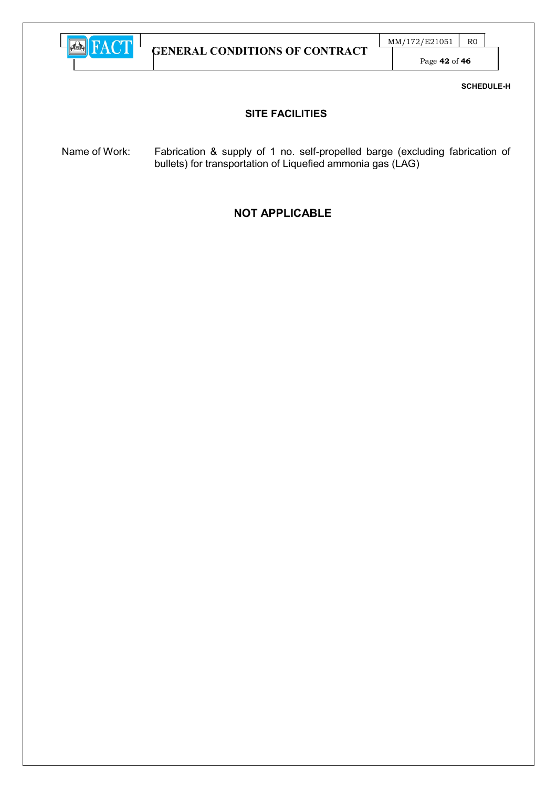

Page 42 of 46

SCHEDULE-H

#### SITE FACILITIES

Name of Work: Fabrication & supply of 1 no. self-propelled barge (excluding fabrication of bullets) for transportation of Liquefied ammonia gas (LAG)

## NOT APPLICABLE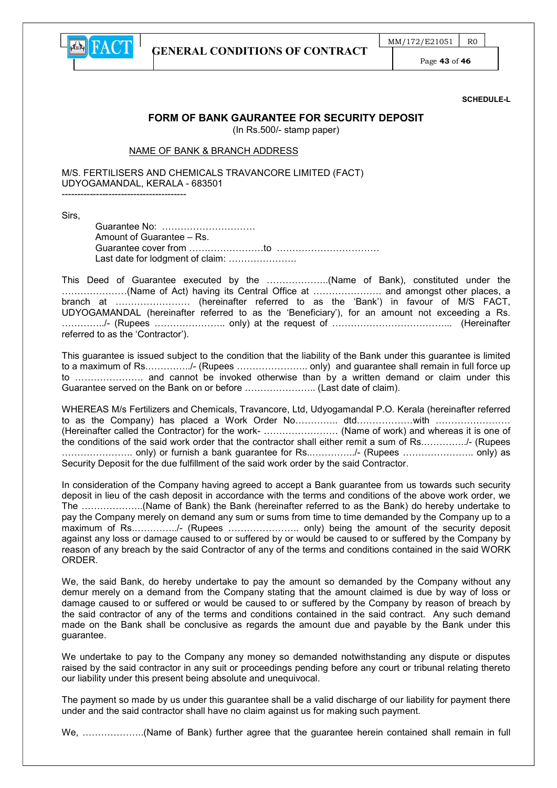

Page 43 of 46

SCHEDULE-L

#### FORM OF BANK GAURANTEE FOR SECURITY DEPOSIT

(In Rs.500/- stamp paper)

#### NAME OF BANK & BRANCH ADDRESS

M/S. FERTILISERS AND CHEMICALS TRAVANCORE LIMITED (FACT) UDYOGAMANDAL, KERALA - 683501 ----------------------------------------

Sirs,

Guarantee No: ………………………… Amount of Guarantee – Rs. Guarantee cover from ……………………to …………………………… Last date for lodgment of claim: .......................

This Deed of Guarantee executed by the ………………..(Name of Bank), constituted under the …………………(Name of Act) having its Central Office at …………………. and amongst other places, a branch at …………………… (hereinafter referred to as the 'Bank') in favour of M/S FACT, UDYOGAMANDAL (hereinafter referred to as the 'Beneficiary'), for an amount not exceeding a Rs. …………../- (Rupees ………………….. only) at the request of ………………………………... (Hereinafter referred to as the 'Contractor').

This guarantee is issued subject to the condition that the liability of the Bank under this guarantee is limited to a maximum of Rs.…………../- (Rupees ………………….. only) and guarantee shall remain in full force up to …………………. and cannot be invoked otherwise than by a written demand or claim under this Guarantee served on the Bank on or before ………………….. (Last date of claim).

WHEREAS M/s Fertilizers and Chemicals, Travancore, Ltd, Udyogamandal P.O. Kerala (hereinafter referred to as the Company) has placed a Work Order No…………… dtd………………with ……………………… (Hereinafter called the Contractor) for the work- …………………… (Name of work) and whereas it is one of the conditions of the said work order that the contractor shall either remit a sum of Rs.…………../- (Rupees ………………….. only) or furnish a bank guarantee for Rs..…………../- (Rupees ………………….. only) as Security Deposit for the due fulfillment of the said work order by the said Contractor.

In consideration of the Company having agreed to accept a Bank guarantee from us towards such security deposit in lieu of the cash deposit in accordance with the terms and conditions of the above work order, we The ………………..(Name of Bank) the Bank (hereinafter referred to as the Bank) do hereby undertake to pay the Company merely on demand any sum or sums from time to time demanded by the Company up to a maximum of Rs.…………../- (Rupees ………………….. only) being the amount of the security deposit against any loss or damage caused to or suffered by or would be caused to or suffered by the Company by reason of any breach by the said Contractor of any of the terms and conditions contained in the said WORK **ORDER** 

We, the said Bank, do hereby undertake to pay the amount so demanded by the Company without any demur merely on a demand from the Company stating that the amount claimed is due by way of loss or damage caused to or suffered or would be caused to or suffered by the Company by reason of breach by the said contractor of any of the terms and conditions contained in the said contract. Any such demand made on the Bank shall be conclusive as regards the amount due and payable by the Bank under this guarantee.

We undertake to pay to the Company any money so demanded notwithstanding any dispute or disputes raised by the said contractor in any suit or proceedings pending before any court or tribunal relating thereto our liability under this present being absolute and unequivocal.

The payment so made by us under this guarantee shall be a valid discharge of our liability for payment there under and the said contractor shall have no claim against us for making such payment.

We, ………………..(Name of Bank) further agree that the guarantee herein contained shall remain in full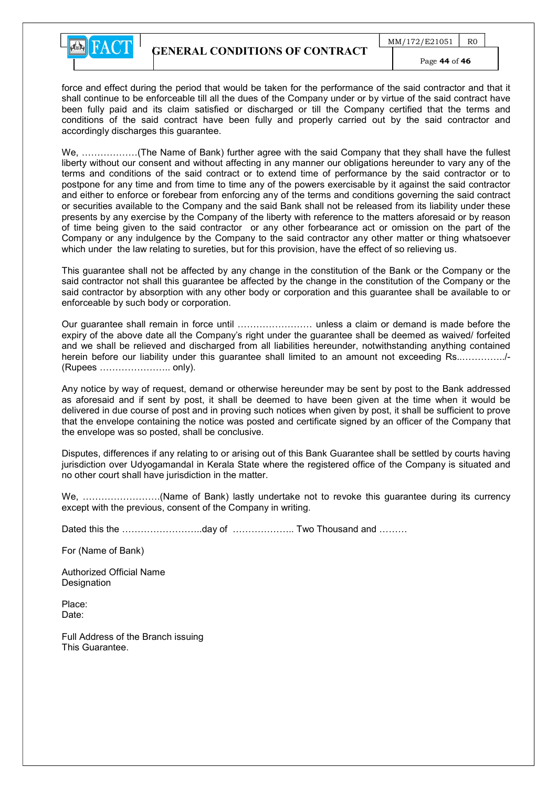

force and effect during the period that would be taken for the performance of the said contractor and that it shall continue to be enforceable till all the dues of the Company under or by virtue of the said contract have been fully paid and its claim satisfied or discharged or till the Company certified that the terms and conditions of the said contract have been fully and properly carried out by the said contractor and accordingly discharges this guarantee.

We, ………………(The Name of Bank) further agree with the said Company that they shall have the fullest liberty without our consent and without affecting in any manner our obligations hereunder to vary any of the terms and conditions of the said contract or to extend time of performance by the said contractor or to postpone for any time and from time to time any of the powers exercisable by it against the said contractor and either to enforce or forebear from enforcing any of the terms and conditions governing the said contract or securities available to the Company and the said Bank shall not be released from its liability under these presents by any exercise by the Company of the liberty with reference to the matters aforesaid or by reason of time being given to the said contractor or any other forbearance act or omission on the part of the Company or any indulgence by the Company to the said contractor any other matter or thing whatsoever which under the law relating to sureties, but for this provision, have the effect of so relieving us.

This guarantee shall not be affected by any change in the constitution of the Bank or the Company or the said contractor not shall this guarantee be affected by the change in the constitution of the Company or the said contractor by absorption with any other body or corporation and this guarantee shall be available to or enforceable by such body or corporation.

Our guarantee shall remain in force until …………………… unless a claim or demand is made before the expiry of the above date all the Company's right under the guarantee shall be deemed as waived/ forfeited and we shall be relieved and discharged from all liabilities hereunder, notwithstanding anything contained herein before our liability under this guarantee shall limited to an amount not exceeding Rs..…………../- (Rupees ………………….. only).

Any notice by way of request, demand or otherwise hereunder may be sent by post to the Bank addressed as aforesaid and if sent by post, it shall be deemed to have been given at the time when it would be delivered in due course of post and in proving such notices when given by post, it shall be sufficient to prove that the envelope containing the notice was posted and certificate signed by an officer of the Company that the envelope was so posted, shall be conclusive.

Disputes, differences if any relating to or arising out of this Bank Guarantee shall be settled by courts having jurisdiction over Udyogamandal in Kerala State where the registered office of the Company is situated and no other court shall have jurisdiction in the matter.

We, …………………….(Name of Bank) lastly undertake not to revoke this guarantee during its currency except with the previous, consent of the Company in writing.

Dated this the ……………………..day of ……………….. Two Thousand and ………

For (Name of Bank)

Authorized Official Name **Designation** 

Place: Date:

Full Address of the Branch issuing This Guarantee.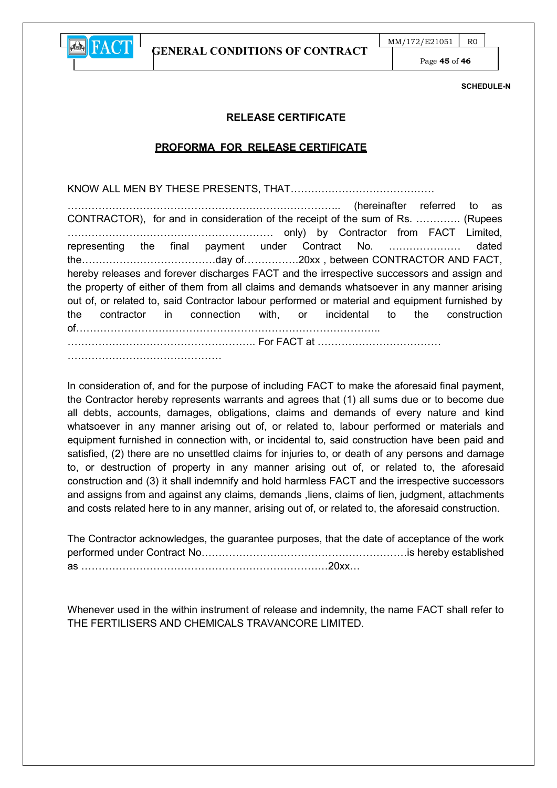

GENERAL CONDITIONS OF CONTRACT

Page 45 of 46

SCHEDULE-N

#### RELEASE CERTIFICATE

#### PROFORMA FOR RELEASE CERTIFICATE

KNOW ALL MEN BY THESE PRESENTS, THAT……………………………………

…………………………………………………………………….. (hereinafter referred to as CONTRACTOR), for and in consideration of the receipt of the sum of Rs. …………. (Rupees …………………………………………………… only) by Contractor from FACT Limited, representing the final payment under Contract No. ………………… dated the…………………………………day of…………….20xx , between CONTRACTOR AND FACT, hereby releases and forever discharges FACT and the irrespective successors and assign and the property of either of them from all claims and demands whatsoever in any manner arising out of, or related to, said Contractor labour performed or material and equipment furnished by the contractor in connection with, or incidental to the construction of…………………………………………………………………………….. ………………………………………………. For FACT at ……………………………… ………………………………………

In consideration of, and for the purpose of including FACT to make the aforesaid final payment, the Contractor hereby represents warrants and agrees that (1) all sums due or to become due all debts, accounts, damages, obligations, claims and demands of every nature and kind whatsoever in any manner arising out of, or related to, labour performed or materials and equipment furnished in connection with, or incidental to, said construction have been paid and satisfied, (2) there are no unsettled claims for injuries to, or death of any persons and damage to, or destruction of property in any manner arising out of, or related to, the aforesaid construction and (3) it shall indemnify and hold harmless FACT and the irrespective successors and assigns from and against any claims, demands, liens, claims of lien, judgment, attachments and costs related here to in any manner, arising out of, or related to, the aforesaid construction.

The Contractor acknowledges, the guarantee purposes, that the date of acceptance of the work performed under Contract No……………………………………………………is hereby established as ………………………………………………………………20xx…

Whenever used in the within instrument of release and indemnity, the name FACT shall refer to THE FERTILISERS AND CHEMICALS TRAVANCORE LIMITED.